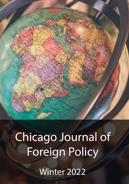

# Chicago Journal of Foreign Policy

Winter 2022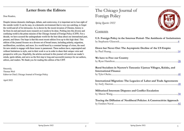# **Letter from the Editors**

Dear Readers,

Despite intense domestic challenges, debate, and controversy, it is important not to lose sight of the outside world. It can be easy, in a domestic environment that is very eye-catching, to forget the world and all of its intricacies. As is shown by the recent invasion of Ukraine, history is far from its end and much more research on it needs to be done. Probing into this diverse and confusing world is the prime mission of the Chicago Journal of Foreign Policy (CJFP). For a decade, we have scoured the undergraduate world for the best ideas about our international past, present, and future. Our hope is that this most recent edition lives up to this high ideal. This edition of the journal focuses on a diverse set of broad issues, including polarity, migration, neoliberalism, socialism, and more. In a world beset by a constant barrage of crises, the need for new minds to engage with these issues is paramount. These authors have, unprompted and without limitations to style, sent in their work to us in order to share their unique voice and perspective with you. Hopefully, the articles enclosed in this journal will enrich our reader's minds, ignite debate, and serve as the first step to long and successful journeys for our authors, editors, and readers. We thank you for reading this edition of the CJFP.

Sincerely, Thomas Weil Editor-in-Chief, Chicago Journal of Foreign Policy

April 2022

# The Chicago Journal of Foreign Policy

*Spring Quarter 2022*

# **Contents**

| U.S. Foreign Policy in the Interwar Period- The Antithesis of Isolationism                          |
|-----------------------------------------------------------------------------------------------------|
|                                                                                                     |
| Down but Never Out: The Asymptotic Decline of the US Empire                                         |
|                                                                                                     |
| We have to Free our Country                                                                         |
|                                                                                                     |
| Rural Socialism in Nyerere's Tanzania: Ujamaa Villages, Kulaks, and<br><b>International Finance</b> |
|                                                                                                     |
| International Migration: The Legacies of Labor and Trade Agreements                                 |
| Militarized Interstate Disputes and Conflict Escalation                                             |
|                                                                                                     |
| Tracing the Diffusion of Neoliberal Policies: A Constructivist Approach                             |

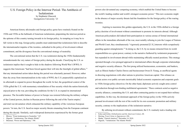<span id="page-2-0"></span>U.S. Foreign Policy in the Interwar Period- The Antithesis of Isolationism by Stephanie Glascock Georgetown University '23

American history aficionados and foreign policy gurus have routinely fixated on the 1920s and 1930s as the hallmark of American isolationism, pinpointing the interwar period as the epitome of this country turning inwards in its foreign policy. As tempting as it may be to fall victim to this trap, foreign policy pundits must understand that isolationism fails to describe the internationalist impulse of the twenties, embodied in the policy of involvement without commitment, and the divergence from the conventional strategy of neutrality.

The conventional notion that the U.S. was isolationist during the 1920s fundamentally misunderstands the very nature of foreign policy during the decade. Classifying the U.S. as isolationist implies that it sought to hide in the shadows following World War I (WWI). It suggests that Americans "had been forced against their will into the limelight of global affairs," that any international action taken during this period was reluctantly pursued. However, rather than shy away from internationalism in the wake of WWI, the U.S. purposefully capitalized on its aftermath to expand its power throughout the world. In fact, the geopolitical context of the 1920s gifted the U.S. with momentary reinstallation of free security which the nation historically enjoyed prior to the war, providing the conditions for the U.S. to expand its international presence. The favorable balance of power in Europe was restored following the military collapse of the Central powers, decline in Russian power following the end of the Tsarist empire,<sup>2</sup> and total war devastation which exhausted the military capability of the victorious European powers.3 In turn, the U.S. faced no major security threats emanating from the European continent during this decade. Similarly, such widespread destruction experienced by the former great

powers also devastated any competing economy, which enabled the United States to become the world's leading creditor and world's strongest economic power. 4 This new economic might in the absence of major security threats laid the foundation for the foreign policy of the roaring twenties.

 Aspiring to maximize this golden opportunity, the U.S. in the 1920s shifted to a foreign policy doctrine of involvement without commitment to promote its interests abroad. Although American policymakers did indeed limit participation in various arenas of formal international affairs in the immediate aftermath of the war, most notably refusing to join the League of Nations and World Court, they simultaneously "vigorously promoted [U.S.] interests while scrupulously guarding against entanglements."5 In doing so, the U.S. by no means retracted from its world responsibilities as a great power, contrary to the narrative furthered by isolationist proponents,<sup>6</sup> but expanded its involvement abroad while maintaining officially neutral positions. This strategy operated through a two-pronged approach to international affairs through corporate relationships and negative security alliances. The first prong utilized businessmen, economists, and bankers, such as Illinois banker Charles Dawes and businessman Owen D. Young, as unofficial agents in directing negotiations with other nations to prioritize American capital. This reliance on private actors over public servants inextricably linked economic expansion and corporate goals to 1920s foreign policy directives.On the other hand, diplomats actively sought arms control and reduction through non-binding multilateral agreements.<sup>7</sup> These contracts acted as negative security alliances, committing the U.S. and other contracting parties to not expand their military capabilities. In this way, the dominant approach of the foreign policy in the 1920s actively pursued involvement with the rest of the world for its own economic promotion and military security, contrary to the implications of the isolationist narrative.

By utilizing involvement without commitment, the U.S. routinely took a leading role

<sup>1</sup> Blower, "From Isolationism to Neutrality," 347.

Higuchi, "'Isolationism: The Atlantic World."

<sup>3</sup> Braeman, "Power and Diplomacy," 348.

<sup>4</sup> Eckes and Zeiler, *Globalization and the American Century*, 60.

<sup>5</sup> Herring, *From Colony to Superpower,* 436.

<sup>6</sup> Madar, "Ostrich America?" December 14, 2010.

Higuchi, "'Isolationism: The Atlantic World."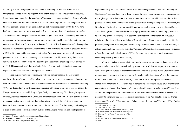in altering international geopolitics, as evident in resolving the post war economic crisis that plagued Europe. While no major military apparatuses posed a serious threat to security, Republicans recognized that the shambles of European economics, particularly Germany's debt, created an economic and political source of instability that required decisive and gallant action to avoid economic chaos. Consequently, foreign policymakers partnered with the New York banking community to revive private capital flows and nurture financial markets to strengthen American economic independence and commercial gain. Specifically, the banking community, represented by Dawes and Young, worked hand in hand with the House of Morgan to provide currency stabilization to Germany in the Dawes Plan of 1924 which ended the Allied occupation, reduced the number of reparations, required the Allied Powers to buy German products, provided a \$200 million loan to Germany, and appointed an American as an overseer of all payments pertinent to the act.<sup>8</sup> This plan not only restored economic stability to Germany in the years following, but it also represented "the beginning of a secure and enduring peace,"<sup>9</sup> piloted by the U.S. This economic deal thus symbolized the U.S.'s internationalist drive for economic expansion and peace promotion throughout the twenties.

Foreign policy directed towards Asia reflected similar trends as the Republican administrations furthered neutrality rights, consequently securing a leadership role in promoting stability in the Pacific. The attention of policymakers in the Asian theater in the decade following WWI was directed not towards maximizing the revived balance of power, as was the case in the European context, but reestablishing it. Specifically, the increasingly friendly Anglo-Japanese alliance, Japanese imperialism in China, and armament escalation by East Asian powers directly threatened the favorable conditions that had previously allowed the U.S. to reap economic benefits from China and be free from threat on the Pacific front.<sup>10</sup> Subsequently, embarking on a quest to maximize collective security outside of the League, American diplomats promoted

negative security alliances in the hallmark arms reduction agreement at the 1921 Washington Conference. The initial Four Power Treaty among the U.S., Japan, Britain, and France dissolved the Anglo-Japanese alliance and enshrined a commitment to territorial integrity of the parties' possessions in the Pacific in the name of the "preservation of the general peace."11 Similarly, the Nine Power Treaty, which was purposefully crafted to stabilize great power conflict in China, formally recognized Chinese territorial sovereignty and committed the contracting powers not to seek "any general superiority" 12 in economic development in the region. In doing so, it officialized the historically favorable Open Door principle in China internationally, stabilized a potentially dangerous arms race, and unequivocally demonstrated that the U.S. was assuming a role as an international leader. As such, the Washington Convention's negative security alliances reflected the internationalist impulse of 1920s America in search for the maximization of economic prosperity and national security.

While it is factually inaccurate to portray the twenties as isolationist, there is a sensible argument to label the thirties as such as long as that term is solely used to purport a hesitancy to formally align with Europe.13 It is true that the economic crisis spurred by the Great Depression reduced support among the American public for sending aid internationally<sup>14</sup> and the mounting threat of war altered the favorable security conditions afforded throughout the twenties.<sup>15</sup> Hence, most Americans indeed "preferred to concentrate on domestic issues, shun international cooperation, retain complete freedom of action, and avoid war at virtually any cost,"16 and thus favored limited participation in international affairs as implied by isolationism. However, it is necessary to remember that these isolationist inclinations were "not about keeping the United States out of the world,"17 but were rather "about keeping it out of war."18 As such, 1930s foreign

- 14 Blower, "From Isolationism to Neutrality," 346.
- 15 Herring, *From Colony to Superpower,* 502.
- 16 Ibid.
- 17 Blower, "From Isolationism to Neutrality," 351.

<sup>8</sup> *Papers Relating to the Foreign Policy of the United States.* 

<sup>9</sup> Coolidge, "President Coolidge's Speech."

<sup>10</sup> Cohen, "America's Response to China," 94.

<sup>11 &</sup>quot;The Four-Power Treaty."

<sup>12 &</sup>quot;The Nine-Power Treaty."

<sup>13</sup> Blower, "From Isolationism to Neutrality," 346.

<sup>18</sup> Ibid.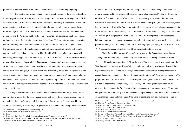policy *could* be described as isolationist if such reference was made solely regarding war.

Nevertheless, the implications of conventional isolationism do a disservice to the shifts in foreign policy that took place as a result of changing security patterns throughout the thirties. Specifically, the U.S. finally departed from its strategy of neutrality in order to avoid war and promote national self-interest.19 Convinced that traditional neutrality was no longer feasible or desirable given the scale of the first world war and the devastation of the Great Depression, politicians and the American public alike were confronted with the fact international relations no longer espoused the "passive neutrality of other days.'"20 Despite the attempt to resuscitate neutrality through the initial implementation of the Neutrality Acts of 1935, which asserted the traditional ban on belligerent alignment and prohibited the sale of arms to belligerents,<sup>21</sup> neutrality evidently did not survive as the U.S. found itself increasingly at cross hairs with combating fascist aggression and supporting Great Britain and France. Given this insufficiency of neutrality, President Roosevelt (FDR) proposed to "quarantine" aggressors, namely Japan, as the interdependence of the modern world made "it impossible for any nation completely to isolate itself."22 In doing so, FDR deliberately and inextricably linked domestic peace to global security, contending that neutrality could no longer protect Americans if international relations continued to disintegrate. It had thus become accepted among public and politicians alike that isolationism and strategic neutrality were not the path forward if the U.S. wanted to maintain any semblance of peace.

Policymakers consequently embarked on the endeavor to curtail the outbreak of war, contrary to the notion that the U.S. was enmeshed with solely domestic matters and ignored the realities of the escalating geopolitical situation. 23 In response to the peril posed by the failure of the strategy of neutrality, FDR purposefully looked to alternative policy mechanisms to prevent the world from spiraling into the fiery pits of hell. In 1940, recognizing that a war initially constrained to European and East Asian borders had developed "into a world war for domination"24 which no longer afforded the U.S. free security, FDR altered the strategy of neutrality. In promoting the Lend-Lease bill, which enabled the "[sale], transfer, exchange, lease, lend or otherwise [disposal] of' any 'war material' to any nation whose defense was deemed vital to the defense of the United States,"25 FDR framed the U.S.'s defense as contingent on the future of Britain<sup>26</sup> given the precarious state of its economy. This direct provision of resources to a belligerent not only abandoned the decades old policy of neutrality but also shed its last standing pretense.27 Thus, the U.S. strategically modified its foreign policy strategy in the 1930s and early 1940s to promote peace rather than recoil from the mounting threat of war.

Similarly, the U.S. purposefully sought to extinguish the fomenting tensions in Asia. Although the Washington System evidently stabilized East Asia during the twenties, <sup>28</sup> the 1931-1932 Manchurian crisis, the 1937 Sino-Japanese War, and Japan's formal rejection of the Washington System showcased Japan's increasingly imperialist aggression and dismantled the negative security alliance regime. 29 Recognizing that this deterioration of the prior decade's peaceful conditions threatened "the very foundations of civilization"30 and was emblematic of "a program of predatory imperialism,"31 American politicians agreed that the situation necessitated a different approach to foreign policy. Consequently, FDR strategically advocated for the aforementioned "quarantine" of Japan to eliminate avenues to engrossment in war. Through the abrogation of the 1911 Treaty of Commerce and Navigation signed with Japan<sup>32</sup> and adaptation of an embargo on gas and iron<sup>33</sup> against the Land of the Rising Sun, this quarantine sought to

- 30 Roosevelt, "President Franklin D. Roosevelt Proposes to 'Quarantine' Aggressors."
- 31 Hornbeck, "Stanley K. Hornbeck Urges Economic Sanctions Against Japan."

<sup>19</sup> Thompson, "Conceptions of National Security," 672.

<sup>20</sup> Blower, "From Isolationism to Neutrality," 369.

<sup>21</sup> Ibid.

<sup>22</sup> Roosevelt, "President Franklin D. Roosevelt Proposes to 'Quarantine' Aggressors."

<sup>23</sup> In his piece, Madar claims that the U.S. was "jitterbugging on the sidelines" in the period leading up to World War II. See Madar, "Ostrich America?" December 14, 2010.

<sup>24</sup> Roosevelt, "Radio Address Announcing an Unlimited National Emergency."

<sup>25</sup> Herring, *From Colony to Superpower,* 525.

<sup>26</sup> Roosevelt, "Press Conference on Lend-Lease Policy.".

<sup>27</sup> Herring, *From Colony to Superpower,* 525.

<sup>28</sup> Iriye, "Clash of Systems," 134.

<sup>29</sup> Hunt, "The Road to Pearl Harbor," 61.

<sup>32</sup> Iriye, "Clash of Systems," 138.

<sup>33</sup> Herring, *From Colony to Superpower,* 531.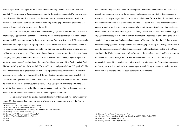isolate Japan from the support of the international community to avoid escalation to armed conflict. 34 The response to Japanese aggression in the thirties thus inaugurated "a new era when Americans would make liberal use of sanctions and other short-of-war forms of coercion to impact the policies and conflicts of others,"35 heralding a foreign policy set on protecting U.S. security through actively engaging with the world.

As these measures proved ineffective in squashing Japanese ambitions, the U.S. became increasingly aggressive and defensive, contrary to the isolationist perception that Pearl Harbor proved the U.S. was unprepared for Japanese aggression. At a rhetorical level, FDR passionately declared following the Japanese signing of the Tripartite Pact that "when your enemy comes at you in a tank or a bombing plane, if you hold your fire until you see the whites of his eyes, you will never know what hit you,"<sup>36</sup> demonstrating an intense internalization of the Japanese threat. Tangibly, such jingoistic rhetoric translated to an expansion of the embargo against Japan,<sup>37</sup> a policy of containment,<sup>38</sup> the buildup of the navy,<sup>39</sup> and the placement of the Pacific fleet at Pearl Harbor to visibly and forcefully remind "Tokyo of the steel and power behind U.S. policy."40 The U.S. hence amped up its preparation for war as its diplomatic measures crumpled. While such preparation evidently did not prevent Pearl Harbor, detailed investigations have revealed that American intelligence on December  $7<sup>th</sup>$  was at fault for the attack as officers lacked the precision to determine where the strike would take place.<sup>41</sup> Thus, using Pearl Harbor to portray the U.S. as militarily unprepared in the buildup to war neglects recognition of the widespread measures taken to amplify defense and the mistakes of the intelligence community.

Isolationism was not the guiding rationale for interwar foreign policy. The twenties were spurred by internationalism in the form of involvement without commitment and the thirties

deviated from long enshrined neutrality strategies to increase interaction with the world. This period thus cannot be said to be the epitome of isolationism as purported by the mainstream narrative. That begs the question, if this era, so widely known for its isolationist inclinations, was not actually isolationist, is this term apt to describe U.S. policy at all? The historically correct answer would be no. It is apparent when carefully examining American history that the typical characterization of an isolationist approach to foreign affairs was rather a calculated strategy of engagement that sought to maximize power. Washington's hesitancy to enter entangling alliances was indeed integrated as a fundamental component of foreign policy, but the U.S. has always consistently engaged with foreign powers. From leveraging neutrality and war against France to gain the Louisiana territory, $42$  establishing economic conditions favorable to the U.S. in China starting in the  $1840s<sub>1</sub><sup>43</sup>$  assuming the role of an international police power,<sup>44</sup> and later attempting to create a new world order,<sup>45</sup> the U.S. has never buried its head in the sand but always purposefully sought to expand its role in the world. The interwar period's invitation to reassess the history of American politics hence encourages us to challenge the conventional narratives that America's foreign policy has been isolationist by any means.

<sup>34</sup> Hornbeck, "Stanley K. Hornbeck Urges," 1938.

<sup>35</sup> Blower, "From Isolationism to Neutrality," 369.

<sup>36</sup> Roosevelt, "Radio Address Announcing an Unlimited National Emergency."

<sup>37</sup> Herring, *From Colony to Superpower,* 531.

<sup>38</sup> Roosevelt, "Cable to Winston S. Churchill."

<sup>39</sup> Hunt, "The Road to Pearl Harbor," 66-67.

<sup>40</sup> Ibid., 67.

<sup>41</sup> Ibid., 71.

<sup>42</sup> Herring, *From Colony to Superpower,* 104.

<sup>43</sup> Keliher, "Anglo-American Rivalry and the Origins of U.S. China Policy," 228.

<sup>44</sup> Roosevelt, "The Roosevelt Corollary."

<sup>45</sup> Herring, *From Colony to Superpower*, 399.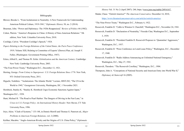#### Cohen, Warren. "America's Response to China: A History of Sino-American Relations." 5th

Braeman, John. "Power and Diplomacy: The 1920s Reappraised," *Review of Politics* 44 (1982).

Bibliography

Blower, Brooke L. "From Isolationism to Neutrality: A New Framework for Understanding

American Political Culture, 1919-1941," *Diplomatic History* 38, no. 2 (2014).

edition, New York: Columbia University Press, 2010.

Coolidge, Calvin. "President Coolidge's Speech," 1924.

*Papers Relating to the Foreign Relations of the United States, the Paris Peace Conference,*  1919*,* Volume XIII, Relating to Committee of Experts' (Dawes) Plan, ed. Joseph V. Fuller, (Washington: Government Printing Office, 1947).

Eckes, Alfred E., and Thomas W. Zeiler. *Globalization and the American Century*. Cambridge: New York: Cambridge University Press, 2003.

"The Four-Power Treaty," Washington D.C., December 13, 1921.

Herring, George. *From Colony to Superpower: U.S. Foreign Relations Since 1776.* New York, NY: Oxford University Press, 2011.

Higuchi, Toshihiro. "'Isolationism: The Atlantic World." Lecture, HIST-282, "The US in the World to 1945," Georgetown University, Washington, DC, 1 November 2021. Hornbeck, Stanley K. "Stanley K. Hornbeck Urges Economic Sanctions Against Japan," Washington D.C., 1938.

- Hunt, Michael H. "The Road to Pearl Harbor: The Dangers of Driving in the Fast Lane," in *Crises in U.S. Foreign Policy: An International History Reader*. New Haven, CT: Yale University Press, 1996.
- Iriye, Akira. "Clash of Systems," 133-148, in Dennis Merrill and Thomas G. Paterson ed., *Major Problems in American Foreign Relations*, vol. 2 (2000).

Keliher, Macabre. "Anglo-American Rivalry and the Origins of U.S. China Policy," *Diplomatic* 

*History* Vol. 31 No 2 (April 2007): 240, https.//[www.jstor.org/stable/24916167](http://www.jstor.org/stable/24916167).

Madar, Chase. "Ostrich America?" *The American Conservative,* December 14, 2010, <https://www.theamericanconservative.com/articles/ostrich-america/>.

"The Nine-Power Treaty." Washington D.C., February 6, 1922.

Roosevelt, Franklin D. "Cable to Winston S. Churchill," Washington D.C., November 24, 1941.

Roosevelt, Franklin D. "Declaration of Neutrality," Fireside Chat, Washington D.C., September 3, 1939.

- Roosevelt, Franklin D. "President Franklin D. Roosevelt Proposes to 'Quarantine' Aggressors," Washington, D.C., 1937.
- Roosevelt, Franklin D. "Press Conference on Lend-Lease Policy," Washington, D.C., December 17, 1940.
- Roosevelt, Franklin D. "Radio Address Announcing an Unlimited National Emergency," Washington, D.C., May 27, 1941.

Roosevelt, Theodore. "The Roosevelt Corollary," Washington, D.C., 1904.

Thompson, John A. "Conceptions of National Security and American Entry into World War II," *Diplomacy & Statecraft* 16 (2005).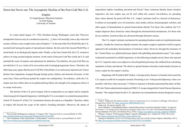# <span id="page-7-0"></span>Down but Never out: The Asymptotic Decline of the Post-Cold War U.S.

Empire A Comprehensive Historical Analysis by Paul Huang University of Toronto

In a letter dated August 15<sup>th</sup>, 1786, President George Washington wrote that "However unimportant America may be considered at present […], there will assuredly come a day when this country will have some weight in the scale of Empires."1 At the end of the First World War, the U.S. asserted itself among the giants of international relations. By the end of the Second World War, it stood firmly in an ideologically bipolar order. Finally, as the Iron Curtain fell, the U.S. seemed to achieve its long-awaited unipolar moment. At the outset of the post-Cold War world, the U.S. had matched the scale of empires and epitomized its definition. Nevertheless, the post-Cold War era unveiled the U.S. as a victim of its own actions and of emerging hegemonic forces. Therefore, the following essay argues that the post-Cold War United States is an unforeseen imperial actor whose decline from unipolarity emerged through foreign policy failures and domestic divisions. At the same time, China and Russia pushed the empire into multipolarity. Nevertheless, while the U.S. empire may have fallen short on its global policing efforts, the strength of its uniqueness allows it to escape irrelevance.

The decline of the U.S. power begins with its composition as an empire and its uniquely American goals for imperial hegemony. Labelling the U.S. as an empire is a contentious proposition. Article IV Section IV of the U.S. Constitution denotes the nation as a Republic;<sup>2</sup> therefore, labels of empire fall beyond the scope of the nation's founding principles. Moreover, the nature of

imperialism implies something unwanted and forced.<sup>3</sup> Since American identity deems freedom imperative, the term empire may not fit well within this context. Nevertheless, by spreading these values abroad, the post-Cold War U.S. 'empire' positions itself as a beacon of democracy. It utilizes an inescapable wave of economics, mass media, tourists, businesspeople, scholars, and other agents of dissemination to spread Americanism abroad.<sup>4</sup> For those who conform, the U.S. empire disperses these American values through the aforementioned mechanisms. For those who do not conform, American ideas are advanced through alternative means.

The U.S. empire's primary mechanism for spreading freedom resides in its global policeman complex. Amidst the American unipolar moment, the empire sought to legitimize itself in regions opposed to the immediate dissemination of American values. However, through the insistence of the "United States as a global policeman tasked with upholding international norms,"5 the empire weakened its potential to solidify hegemony. As the following examples unveil, those who rejected the U.S.' imperial values were subject to a forceful global policeman who suffered from a declining reputation at home and abroad. The desire to spread freedom elsewhere inadvertently became an ironic conduit for the empire's decline.

Beginning with President Bill Clinton, a foreign policy disaster in Somalia showcased the U.S. empire as unfit for its unipolar moment. Promising to act "with peaceful diplomacy when ever possible, with force when necessary,"6 Clinton's response to Somalia represented the latter. In May 1993, the Clinton administration deployed 5000 U.S. troops alongside the United Nations Operation Somalia.<sup>7</sup> The original intent for this U.N. operation was a humanitarian mission designed to rescue

<sup>1 &</sup>quot;From George Washington to Lafayette, 15 August 1786," *National Archives*, accessed March 16, 2021, <https://founders.archives.gov/documents/Washington/04-04-02-0200>.

<sup>2 &</sup>quot;The Constitution of the United States: A Transcription," *National Archives*, accessed March 16, 2021, [https://www.archives.gov/founding-docs/constitution-transcript.](https://www.archives.gov/founding-docs/constitution-transcript)

<sup>3</sup> Frank A. Ninkovich, *The global republic: America's inadvertent rise to world power* (Chicago: University of Chicago Press, 2014), 227, [https://doi.org/10.7208/9780226173337.](https://doi.org/10.7208/9780226173337)

<sup>4</sup> Ninkovich, *The global republic*, 226.

<sup>5</sup> Scott Laderman, "Camouflaging Empire: Imperial Benevolence in American Popular Culture," in *Imperial benevolence: U.S. foreign policy and American popular culture since 9/11*, eds. Tim Gruenewald and Scott Laderman (Oakland: University of California Press, 2018), 5, [https://search.library.utoronto.ca/details?13004805.](https://search.library.utoronto.ca/details?13004805)

<sup>6</sup> William J. Clinton, "First Inaugural Address" (speech, Washington, D.C., January 20, 1993), *The Avalon Project*, [https://avalon.law.yale.edu/20th\\_century/clinton1.asp.](https://avalon.law.yale.edu/20th_century/clinton1.asp)

<sup>7</sup> Thomas H. Henriksen, *Cycles in US Foreign Policy since the Cold War* (Cham: Palgrave Macmillan, 2017), 94, [https://doi-org.myaccess.library.utoronto.ca/10.1007/978-3-319-48640-6.](https://doi-org.myaccess.library.utoronto.ca/10.1007/978-3-319-48640-6)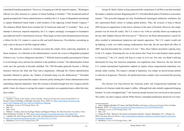a famished Somalian population.<sup>8</sup> However, in keeping up with the imperial impetus, "Washington officials saw [this mission] as a project of nation building in Somalia."<sup>9</sup> This broadened political agenda prompted the Clinton administration to mobilize the U.S. troops in Mogadishu and attempt to capture Mohamed Farrah Aidid, a chief architect of the opposing United Somali Congress.10 The infamous Black Hawk down incident left 18 Americans dead and 73 wounded.<sup>11</sup> Thus, in an attempt to showcase imperial unipolarity, the U.S. empire seemingly overstepped its boundaries and subjected itself to international criticism. What began as benevolent humanitarianism became a failure for the U.S. empire to create an ally and instill democracy. Nevertheless, presenting an early crack in the post-Cold War imperial edifice.

The domestic reaction to Somalia prevented the empire from coalescing unipolarity in future instances. As a blemish on the administration's record, the events in Mogadishu prompted Clinton to say, "we have obligations elsewhere."12 With the American public pressuring for Clinton to avoid foreign crises and turn his attention to the problems at home,<sup>13</sup> the administration looked weak once the genocide in Rwanda unfolded. The 1994 Rwandan genocide became a 100-day massacre between the Hutu and Tutsi native populations. Although the Clinton administration internally debated its options, the "shadow of Somalia hung over the deliberations."14 Rwandan non-intervention represented the empire's domestic polity limiting the Clinton administration from undertaking imperial unipolarity. Since the misstep in Somalia brought fear into Congress and the public's heart, the chance to salvage the empire's reputation was squandered anew, albeit this time, from within.

George W. Bush's failure in Iraq represented the seminal post-Cold War event that tarnished the empire's unipolar moment. Beginning after 9/11, President Bush spoke of freedom in a messianic manner.15 This powerful language not only foreshadowed intransigent militaristic retaliation, but also represented Bush's desire to reshape global politics. Thus, the invasion of Iraq in March 2003 became an opportunity to take down a dictator in the name of freedom. However, this empty promise was far from the reality. The U.S. went to war "with no carefully drawn up roadmap for the day after Saddam Hussein fell from power."16 Moreover, the Bush administration's search for allies resulted in international skepticism and staunch opposition. The U.S. empire would end up fighting a costly war whilst earning condemnation from afar. By the time Bush left office in 2009, Iraq had descended into a brutal civil war.17 Thus, these failures presented a glaring irony to the U.S. empire. Premising the war on the pretext that "Iraqi lives and freedom matter greatly to [America],"18 the U.S. merely left Iraq in a state of civil war. Not only was Bush's policing detrimental for Iraq, but American unipolarity lost significant clout. Moreover, the fact that the U.S. needed international legitimation implied an empire whose unquestioned unipolarity was already under scrutiny. The empire's attempt at legitimacy was simply an unconvincing method to cultivate its hegemony. Therefore, the global policeman complex only accelerated this growing decline.

The discord over Iraq between the American polity and Congressional leadership was indicative of a fracture inside the empire's edifice. Although both sides initially supported bringing freedom "to such a benighted land,"19 the American people became less convinced as time passed. The reality was that Congress and the White House's attempted justification dissolved over time.

<sup>8</sup> Timothy J. Lynch, *In the shadow of the Cold War: American foreign policy from George Bush Sr. to Donald Trump* (Cambridge: Cambridge University Press, 2020), 61, [https://search.library.utoronto.ca/de](https://search.library.utoronto.ca/details?13142772&uuid=a0573f7c-1610-471f-b908-5ca77d0a3ada)[tails?13142772&uuid=a0573f7c-1610-471f-b908-5ca77d0a3ada](https://search.library.utoronto.ca/details?13142772&uuid=a0573f7c-1610-471f-b908-5ca77d0a3ada).

<sup>9</sup> Henriksen, *Cycles in US Foreign Policy*, 94.

<sup>10</sup> Ibid., 95.

<sup>11</sup> Ibid., 93-95.

<sup>12</sup> William J. Clinton, interview by Roger Mudd, and Margaret Warner, *The MacNeil/Lehrer NewsHour*, News-Hour Productions, October 18, 1993, [https://americanarchive.org/catalog/cpb-aacip\\_507-qr4nk3715b.](https://americanarchive.org/catalog/cpb-aacip_507-qr4nk3715b)

<sup>13</sup> Cathinka Vik, *Moral Responsibility, Statecraft, and Humanitarian Intervention* (London: Routledge, 2015), 35, <https://doi-org.myaccess.library.utoronto.ca/10.4324/9781315713762>.

<sup>14</sup> Henriksen, *Cycles in US Foreign Policy*, 99.

<sup>15</sup> John Callaghan, Brendon O'Connor, and Mark Phythian, *Ideologies of American Foreign Policy* (London: Routledge, 2019), 155, [https://doi-org.myaccess.library.utoronto.ca/10.4324/9780429019241.](https://doi-org.myaccess.library.utoronto.ca/10.4324/9780429019241)

<sup>16</sup> Henriksen, *Cycles in US Foreign Policy*, 191.

<sup>17</sup> Ibid., 210.

<sup>18</sup> George W. Bush, "Speech to the American Enterprise Institute" (speech, Washington, D.C., February 26, 2003), *Teaching American History*, [https://teachingamericanhistory.org/library/document/speech-to-the-ameri](https://teachingamericanhistory.org/library/document/speech-to-the-american-enterprise-institute/)[can-enterprise-institute/.](https://teachingamericanhistory.org/library/document/speech-to-the-american-enterprise-institute/)

<sup>19</sup> Henriksen, *Cycles in US Foreign Policy*, 209.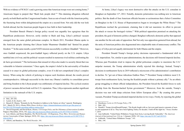With no evidence of W.M.D.'s and a growing sense that American troops were not coming home,<sup>20</sup> Americans began to purport that "Bush lied, people died."21 This damning allegation reflected poorly on both Bush and the Congressional leaders. Seen as out-of-touch with the American polity, the fracturing from within delegitimized the empire on a second front. Not only did the war look foolish abroad, but the American people began to lose faith in their leadership.

President Barack Obama's foreign policy record was arguably less egregious than his Republican predecessor. However, eerily similar to Bush and Iraq, Libya's political vacuum emerged from the same global policeman complex. In March 2011, President Obama spoke to the American people claiming that Libyan leader Muammar Ghaddafi had "denied his people freedom."22 In the same month, a joint NATO mission successfully overthrew Ghaddafi.23 However, once Gaddafi acquiesced, the post-Gaddafi legacy reflected poorly on the U.S. empire. Libya tumbled into civil war, and the political vacuum resulted in numerous rival militias confronting the de facto government.24 The lawlessness that ensued in Libya also made it a security threat that was vulnerable to Islamist extremism.25 Once again, the empire's belief in the universality of freedom caused it to enact its global policeman complex, even if it did not comprehend Libya's complex history. When using the vehicle of policing to impose such freedoms abroad, the results proved counterproductive. Although successful in the short run, Obama's inability to consolidate power and bring freedom to the Libyan people was emblematic of imperial decline. The cyclical creation of power vacuums did not bode well for U.S. reputation. Thus, Libya represents another significant limitation to the outreach of the U.S. empire.

At home, Libya's legacy was most destructive after the attacks on the U.S. consulate in Benghazi on September  $11<sup>th</sup>$ , 2012. Notedly, domestic polarization was nothing new to American politics. But the death of four American officials became so acrimonious that a Select Committee on Benghazi in the U.S. House of Representatives began to investigate the White House.<sup>26</sup> The Republicans torched the government, claiming that it did not maximize its effort to prevent the attack or rescue the besieged victims.27 With political opposition premised on attacking the president, the goal of domestic politics changed. Benghazi reflected a domestic polity that opposed one another for the sole sake of opposition. For Not only was opposition garnered from abroad, but the unity of American politics also degenerated into a deplorable state of unnecessary conflict. The legacy of Libya proved equally detrimental for both Obama and the empire.

President Donald Trump's foreign policy decisions represented a fundamental shift in U.S. imperialism. Yet, similar to past administrations, the decisions still fostered imperial decline. Whereas past Presidents tried to impose the global policeman complex to maximize the U.S.' unipolar moment, the Trump administration wholly rejected this ideology. Instead, Trump's decisions in northeastern Syria in 2019 reflected a microcosm of his administration's contribution to decline. To "get out of these ridiculous Endless Wars,"28 President Trump withdrew most U.S. troops from northeastern Syria, leaving the Kurdish people without a primary ally.29 As an ethnic group struggling to obtain official independence, the President forced the Kurdish forces to seek allyship from the Russian-backed Syrian government.<sup>30</sup> Moreover, from the outside, Trump's decision was met with sharp criticism from fellow European allies.<sup>31</sup> By creating this power vacuum, President Trump accelerated imperial decline in two ways. Firstly, by rejecting the global

<sup>20</sup> Ibid., 201-202.

<sup>21</sup> Lynch, *In the shadow*, 145.

<sup>22</sup> Barack H. Obama, "Remarks by the President in Address to the Nation on Libya" (speech, Washington, D.C., March 28, 2011), *Obama White House Archives*, [https://obamawhitehouse.archives.gov/the-press-of](https://obamawhitehouse.archives.gov/the-press-office/2011/03/28/remarks-president-address-nation-libya)[fice/2011/03/28/remarks-president-address-nation-libya](https://obamawhitehouse.archives.gov/the-press-office/2011/03/28/remarks-president-address-nation-libya).

<sup>23</sup> David Fitzgerald, and David Ryan, *Obama, US Foreign Policy and the Dilemmas of Intervention* (London: Palgrave Macmillan, 2014), 102, [https://doi-org.myaccess.library.utoronto.ca/10.1057/9781137428561.](https://doi-org.myaccess.library.utoronto.ca/10.1057/9781137428561)

<sup>24</sup> Luiz Alberto, and Moniz Bandeira, *The World Disorder: US Hegemony, Proxy Wars, Terrorism and Humanitarian Catastrophes* (Cham: Springer, 2019), 101, [https://doi-org.myaccess.library.utoronto.ca/10.1007/978-3-](https://doi-org.myaccess.library.utoronto.ca/10.1007/978-3-030-03204-3) [030-03204-3.](https://doi-org.myaccess.library.utoronto.ca/10.1007/978-3-030-03204-3)

<sup>25</sup> Alberto, and Bandeira, *The World Disorder*, 101.

<sup>26</sup> Henriksen, *Cycles in US Foreign Policy*, 270.

<sup>27</sup> Ibid., 269.

<sup>28</sup> Donald J. Trump (@realDonaldTrump), "The Kurds fought with us, but were paid massive amounts of money and equipment to do so. They have been fighting Turkey for decades. I held off this fight for," Tweet, October 7, 2019.

<sup>29</sup> Jean Galbraith, "United States Withdraws Troops from Syria, Leaving Kurds Vulnerable," *The American Journal of International Law* 114, no. 1 (January 2020): 143, [https://doi.org/10.1017/ajil.2019.81.](https://doi.org/10.1017/ajil.2019.81)

<sup>30</sup> Galbraith, "United States Withdraws Troops," 143.

<sup>31</sup> Ibid., 144.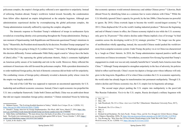policeman complex, the empire's foreign policy reflected a new opposition to unipolarity. Instead of enforcing freedom abroad, Trump's worldview looked inward. Secondly, the condemnation from fellow allies depicted an empire delegitimized as the unipolar hegemon. Although past administrations experienced decline by overemphasizing the global policeman complex, the Trump administration ironically suffered by rejecting the complex altogether.

The domestic response to President Trump's withdrawal of troops in northeastern Syria revealed an overarching identity crisis permeating throughout the Trump administration. During a rare moment of bipartisanship, both Republicans and Democrats questioned Trump's intentions in Syria.32 Meanwhile, the President stood staunchly by his decision. President Trump campaigned "on the fact that [he] was going to bring [U.S.] soldiers home,"33 but many in Washington approached this decision differently. Former ambassador Nikki Haley urged a need to "always have the backs of [their] allies."34 By espousing the global policeman rhetoric, Haley's comments highlighted an American polity unsure of its leadership and role in the world. Moreover, Haley reflected the sentiment of Americans who still favoured the policeman complex. With a president determined to re-order traditional foreign policy, the lack of domestic consensus did not bode well for unipolarity. The combatting visions of foreign policy ultimately revealed a domestic polity whose vision for the empire was largely undecided.

The end of the Cold War was supposed to represent an uncontested opportunity for U.S. leadership and neoliberal economic consensus. Instead, China's rapid economic rise propelled the U.S. into a multipolar framework. Under both Clinton and Bush, China was an ambivalent threat that did not require immediate foreign policy attention.35 Clinton mimicked Nixon by believing that economic openness would entrench democracy and subdue Chinese power.36 Likewise, Bush dittoed Nixon by identifying Islam as a common fear to warm relations with China.<sup>37</sup> While the U.S. blissfully ignored China's capacity for growth, by the late 2000s, China became too powerful to ignore. By 2010, China overtook Japan to become the world's second-largest economy.38 In 2013, China displaced the US as the world's leading industrial producer.<sup>39</sup> Between the beginning and end of Obama's tenure in office, the Chinese economy tripled in size while the U.S. economy only grew by 20 percent.40 This relative decline under Obama implied a loss of leverage "to bind countries across the developing world to [U.S.] strategic priorities."41 No longer was the guise of neoliberalism wholly appealing; instead, the successful Chinese model pushed the worldview away from a unipolar economic system. Under Trump, the policy vis-à-vis China was characterized by a 'tough on China' rhetoric. In 2018, the Trump administration imposed punitive tariffs and restrictions on Chinese investments.42 Nevertheless, economist Yew-Kwang Ng noted that Trump's engagement in a trade war was not only mutually harmful but it "actually hurts America more than China."43 Although Trump attempted to strengthen unipolarity in the face of adversity, his policies failed to reflect such bravado. China's recent rise depicts a foreign actor whose influence will only grow in the long-term. Regardless of if or when China overtakes the U.S. in economic superiority, the world order has already begun its transformation into permanent multipolarity. Through U.S. relative decline and Chinese economic rise, the U.S. empire lost its hegemonic advantage.

The second major player pushing the U.S. empire into multipolarity is the post-Cold War Russian Federation. Vis-à-vis the U.S. empire, Russia developed a military hegemon with

<sup>32</sup> Mehmet Gurses, "The Evolving Kurdish Question in Turkey," *Middle East Critique* 29, no. 3 (2020): 312, <https://doi.org/10.1080/19436149.2020.1770448>.

<sup>33</sup> Donald J. Trump, interview by George Stephanopoulos, *This Week*, ABC News, March 27, 2016, [https://abc](https://abcnews.go.com/Politics/week-transcript-donald-trump-sen-bernie-sanders/story?id=37949498)[news.go.com/Politics/week-transcript-donald-trump-sen-bernie-sanders/story?id=37949498](https://abcnews.go.com/Politics/week-transcript-donald-trump-sen-bernie-sanders/story?id=37949498).

<sup>34</sup> Nikki Haley (@NikkiHaley), "We must always have the backs of our allies, if we expect them to have our back. The Kurds were instrumental in our successful fight against ISIS in Syria," Tweet, October 7, 2019, [https://](https://twitter.com/NikkiHaley/status/1181191973367160834) [twitter.com/NikkiHaley/status/1181191973367160834](https://twitter.com/NikkiHaley/status/1181191973367160834).

<sup>35</sup> Lynch, *In the shadow*, 149.

<sup>36</sup> Ibid., 89.

<sup>37</sup> Ibid., 149.

<sup>38</sup> Jude Woodward, *The US vs China: Asia's new Cold War?* (Manchester: Manchester University Press, 2017), 3.

<sup>39</sup> Woodward, *The US vs China*, 3.

<sup>40</sup> Ibid., 4.

<sup>41</sup> Ibid., 5.

<sup>42</sup> Richard Javad Heydarian, *The Indo-Pacific: Trump, China, and the New Struggle for Global Mastery* (Singapore: Palgrave Macmillan, 2020), 38, [https://doi-org.myaccess.library.utoronto.ca/10.1007/978-981-13-9799-8.](https://doi-org.myaccess.library.utoronto.ca/10.1007/978-981-13-9799-8) 43 Yew-Kwang Ng, "Why Does the US Face Greater Disadvantages in the Trade War with China?" *China & World Economy* 28, no. 2 (2020): 113,<https://doi.org/10.1111/cwe.12323>.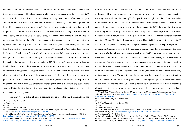nationalistic fervour. Contrary to Clinton's naïve anticipation, the Russian government recognized that a blind acceptance of liberal democracy would come at the expense of its domestic security.44 Under Bush, in 2008, the former Russian territory of Georgia was invaded after electing a pro-Western leader.<sup>45</sup> For Russian President Dimitri Medvedev, however, the aim was to protect the lives of his citizens, wherever they may be.<sup>46</sup> Thus, revealing a Russian empire unwilling to yield its power to NATO and Western interests. Russian nationalism over Georgia also reflected an empire eerily similar to its Cold War self. Hence, once Obama tried flexing his power, Russian aggression multiplied. In March 2014, Russia annexed Crimea under the pretext of defending an oppressed ethnic minority in Ukraine.47 In a speech addressing the Russian Duma, Putin claimed that "Crimean Tatars [have] returned to their homeland."48 Essentially, Putin justified imperialism in the name of nationalism. Meanwhile, Obama stood by and failed to demonstrate legitimate strength. Under Trump, the re-emerging Russian empire obtained its full legitimation. Before his election, Trump frightened allies by rendering NATO obsolete.<sup>49</sup> Once assuming office, he implied that the U.S. should lift sanctions on Russia, asking, "why would anybody have sanctions if somebody's doing some really great things?"50 With Russian foreign policy against the West already damning, President Trump's legitimation was the final victory. Russia's trajectory in the post-Cold War era is symbolic of an empire whose resurgence displaced the U.S. empire from unipolarity. The narrative of U.S. unipolarity emerging from the Cold War was long over. Russia was steadfast at deciding its own fate through its military might and nationalistic fervour, much at the expense of U.S. hegemony.

President Joseph Biden inherited a declining empire; nevertheless, its prospects are not

dire. Victor Bulmer-Thomas notes that "the relative decline of the US economy is therefore not in dispute."51 However, the emphasis must focus on the word *relative*. Factors such as stagnating real wages and a fall in social mobility<sup>52</sup> reflect poorly on the empire. Yet, the U.S. still maintains a 15% share of the global GDP,<sup>53</sup> 25% of the world's net outward foreign direct investment (FDI)<sup>54</sup> and is still the largest investor in research and development  $(R&D)$ <sup>55</sup> Likewise, "the US may be weakening, but it is still the greatest military power on the planet."56 According to the bipartisan Peter G. Peterson Foundation, in 2020, the U.S. spent more on defence than the following ten countries combined.<sup>57</sup> Since 2000, the U.S. has averaged nearly 4% of its GDP towards military spending.<sup>58</sup> Lastly, U.S. soft-power and cosmopolitanism guarantee the longevity of the empire. Regardless of its numerous blunders abroad, the U.S. maintains a foreign policy that is omnipresent. The U.S. empire spreads through nongovernmental organizations (NGOs), popular culture, corporations, social media, and the like.59 Even as the empire's *relative* strength wanes, it will never cede to irrelevance. The U.S. empire is not only distinct because of its emphasis on delivering freedom through the global policeman complex. As the aforementioned data shows, the U.S. also differs in its ability to ensure its longevity. Regardless of its failures, the empire maintains a robust economy, military, and soft power. The combination of these forces still represents the characteristics of an empire. President Biden's responsibility now involves limiting the empire's decline as it continues its transition into multipolarity. But he should not equate the empire's decline with forthcoming obscurity. If Biden hopes to navigate this new global order, he must be prudent in his military

<sup>44</sup> Lynch, *In the shadow*, 83.

<sup>45</sup> Ibid., 147.

<sup>46</sup> Ibid., 148.

<sup>47</sup> Lynch, *In the shadow*, 205.

<sup>48</sup> Vladimir Putin, "Address by President of the Russian Federation" (speech, Moscow, March 18, 2014), *President of Russia*, <http://en.kremlin.ru/events/president/news/20603>.

<sup>49</sup> David Parker, *US Foreign Policy Towards Russia in the Post-Cold War Era* (London: Routledge, 2019), 233, <https://doi-org.myaccess.library.utoronto.ca/10.4324/9780429452550>.

<sup>50</sup> Donald J. Trump, *The Wall Street Journal*, The Wall Street Journal, January 13, 2017, [https://www.wsj.com/](https://www.wsj.com/articles/donald-trump-sets-a-bar-for-russia-and-china-1484360380) [articles/donald-trump-sets-a-bar-for-russia-and-china-1484360380.](https://www.wsj.com/articles/donald-trump-sets-a-bar-for-russia-and-china-1484360380)

<sup>51</sup> Victor Bulmer-Thomas, *Empire in Retreat: The Past, Present, and Future of the United States* (New Haven: Yale University Press, 2018), 275, [https://search.library.utoronto.ca/details?12309412&uuid=9ffea2ec-a0e4-](https://search.library.utoronto.ca/details?12309412&uuid=9ffea2ec-a0e4-4de1-84de-62051128f6b6) [4de1-84de-62051128f6b6](https://search.library.utoronto.ca/details?12309412&uuid=9ffea2ec-a0e4-4de1-84de-62051128f6b6).

<sup>52</sup> Bulmer-Thomas, *Empire in Retreat*, 276.

<sup>53</sup> Ibid., 279.

<sup>54</sup> Bulmer-Thomas, *Empire in Retreat*, 282.

<sup>55</sup> Ibid., 293.

<sup>56</sup> Woodward, *The US vs China*, 11.

<sup>57 &</sup>quot;U.S. DEFENSE SPENDING COMPARED TO OTHER COUNTRIES," *Peter G. Peterson Foundation*,

accessed March 18, 2021, [https://www.pgpf.org/chart-archive/0053\\_defense-comparison](https://www.pgpf.org/chart-archive/0053_defense-comparison).

<sup>58</sup> Woodward, *The US vs China*, 11.

<sup>59</sup> Penny M. Von Eschen, "Black Ops Diplomacy and the Foreign Policy of Popular Culture," in *Imperial benevolence: U.S. foreign policy and American popular culture since 9/11*, eds. Tim Gruenewald and Scott Laderman (Oakland: University of California Press, 2018), 232,<https://search.library.utoronto.ca/details?13004805>.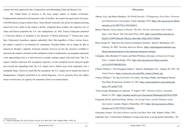ventures but stern against the face of opposition, notwithstanding China and Russia's rise.

The United States of America is the most unique empire of modern civilization. Fundamentally premised on the humanist value of freedom, the empire has spent much of its post-Cold War history trying to enforce these values abroad. Ironically, this desire for unipolar policing turned out to be a pillar in the empire's decline. Alongside these troubles, the respective rise of China and Russia propelled the U.S. into multipolarity. In 1992, Francis Fukuyama predicted a "Universal History of mankind in the direction of liberal democracy."60 Twenty-nine years later, Fukuyama's hypothesis appears undeniably false. But regardless of these various forces, the empire's outlook is not destined for vanishment. President Biden will no longer be able to manoeuvre through a unipolar American moment; however, he has the resources available to maximize the empire's potential in this multipolar world. In mathematics, an asymptote represents a line approaching close to a limit but never actually making contact with such limit. The U.S. empire's decline represents this asymptotic trajectory. As the asymptote travels along the graph and towards the impending limit, the U.S. empire moves further away from unipolarity into a multipolar future. However, much like the asymptote, the U.S. empire never reaches the limit of disappearance. Uniquely positioned as an eternal hegemon, even as pressures force the empire closer to irrelevance, its capacity for sustenance limits its eventual demise.

- Alberto, Luiz, and Moniz Bandeira. *The World Disorder: US Hegemony, Proxy Wars, Terrorism and Humanitarian Catastrophes*. Cham: Springer, 2019. [https://doi-org.myaccess.library.](https://doi-org.myaccess.library.utoronto.ca/10.1007/978-3-030-03204-3) [utoronto.ca/10.1007/978-3-030-03204-3.](https://doi-org.myaccess.library.utoronto.ca/10.1007/978-3-030-03204-3)
- Bulmer-Thomas, Victor. *Empire in Retreat: The Past, Present, and Future of the United States*. New Haven: Yale University Press, 2018. [https://search.library.utoronto.ca/](https://search.library.utoronto.ca/details?12309412&uuid=9ffea2ec-a0e4-4de1-84de-62051128f6b6) [details?12309412&uuid=9ffea2ec-a0e4-4de1-84de-62051128f6b6](https://search.library.utoronto.ca/details?12309412&uuid=9ffea2ec-a0e4-4de1-84de-62051128f6b6).
- Bush, George W. "Speech to the American Enterprise Institute." Speech, Washington, D.C., February 26, 2003. *Teaching American History*. [https://teachingamericanhistory.org/](https://teachingamericanhistory.org/library/document/speech-to-the-american-enterprise-institute/) [library/document/speech-to-the-american-enterprise-institute/.](https://teachingamericanhistory.org/library/document/speech-to-the-american-enterprise-institute/)
- Callaghan, John, Brendon O'Connor, and Mark Phythian. *Ideologies of American Foreign Policy*. London: Routledge, 2019. [https://doi-org.myaccess.library.utoronto.](https://doi-org.myaccess.library.utoronto.ca/10.4324/9780429019241) [ca/10.4324/9780429019241](https://doi-org.myaccess.library.utoronto.ca/10.4324/9780429019241).
- Clinton, William J. "First Inaugural Address." Speech, Washington, D.C., January 20, 1993. *The Avalon Project*. [https://avalon.law.yale.edu/20th\\_century/clinton1.asp.](https://avalon.law.yale.edu/20th_century/clinton1.asp)
- Clinton, William J. *The MacNeil/Lehrer NewsHour*. By Roger Mudd, and Margaret Warner. NewsHour Productions, October 18, 1993. [https://americanarchive.org/catalog/cpb](https://americanarchive.org/catalog/cpb-aacip_507-qr4nk3715b)[aacip\\_507-qr4nk3715b](https://americanarchive.org/catalog/cpb-aacip_507-qr4nk3715b).
- "From George Washington to Lafayette, 15 August 1786." *National Archives*. Accessed March 16, 2021. [https://founders.archives.gov/documents/Washington/04-04-02-0200.](https://founders.archives.gov/documents/Washington/04-04-02-0200)
- Fitzgerald, David, and David Ryan. *Obama, US Foreign Policy and the Dilemmas of the Intervention*. London: Palgrave Macmillan, 2014. [https://doi-org.myaccess.library.](https://doi-org.myaccess.library.utoronto.ca/10.1057/9781137428561) [utoronto.ca/10.1057/9781137428561.](https://doi-org.myaccess.library.utoronto.ca/10.1057/9781137428561)

Fukuyama, Francis. *The End of History and the* Last *Man*. New York: Harper Collins, 1992. Galbraith, Jean. "United States Withdraws Troops from Syria, Leaving Kurds Vulnerable," *The* 

Bibliography

<sup>60</sup> Francis Fukuyama, *The End of History and the Last Man* (New York: HarperCollins, 1992), 48.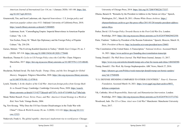*American Journal of International Law* 114, no. 1 (January 2020): 143-148. [https://doi.](https://doi.org/10.1017/ajil.2019.81) [org/10.1017/ajil.2019.81.](https://doi.org/10.1017/ajil.2019.81)

- Gruenewald, Tim, and Scott Laderman, eds. *Imperial benevolence: U.S. foreign policy and American popular culture since 9/11*. Oakland: University of California Press, 2018. <https://search.library.utoronto.ca/details?13004805>.
	- Laderman, Scott. "Camouflaging Empire: Imperial Benevolence in American Popular Culture." Pp. 1-24.
	- Von Eschen, Penny M. "Black Ops Diplomacy and the Foreign Policy of Popular Culture." Pp. 230-258.
- Gurses, Metmet. "The Evolving Kurdish Question in Turkey." *Middle East Critique* 29, no. 3 (2020): 307-318.<https://doi.org/10.1080/19436149.2020.1770448>.
- Henriksen, Thomas H. *Cycles in US Foreign Policy since the Cold War*. Cham: Palgrave Macmillan, 2017. [https://doi-org.myaccess.library.utoronto.ca/10.1007/978-3-319-48640-](https://doi-org.myaccess.library.utoronto.ca/10.1007/978-3-319-48640-6) [6](https://doi-org.myaccess.library.utoronto.ca/10.1007/978-3-319-48640-6).
- Heydarian, Richard Javad. *The Indo-Pacific: Trump, China, and the New Struggle for Global Mastery*. Singapore: Palgrave Macmillan, 2020. [https://doi-org.myaccess.library.utoronto.](https://doi-org.myaccess.library.utoronto.ca/10.1007/978-981-13-9799-8) [ca/10.1007/978-981-13-9799-8](https://doi-org.myaccess.library.utoronto.ca/10.1007/978-981-13-9799-8).
- Lynch, Timothy J. *In the shadow of the Cold War: American foreign policy from George Bush Sr. to Donald Trump*. Cambridge: Cambridge University Press, 2020. [https://search.](https://search.library.utoronto.ca/details?13142772&uuid=a0573f7c-1610-471f-b908-5ca77d0a3ada) [library.utoronto.ca/details?13142772&uuid=a0573f7c-1610-471f-b908-5ca77d0a3ada](https://search.library.utoronto.ca/details?13142772&uuid=a0573f7c-1610-471f-b908-5ca77d0a3ada).
- Mead, Walter Russell. *Power, Terror, Peace, and War: America's Grand Strategy in a World at Risk*. New York: Vintage Books, 2004.
- Ng, Yew-Kwang. "Why Does the US Face Greater Disadvantages in the Trade War with China?" *China & World Economy* 28, no. 2 (2020): 113-122. [https://doi.org/10.1111/](https://doi.org/10.1111/cwe.12323) [cwe.12323](https://doi.org/10.1111/cwe.12323).
- Ninkovich, Frank A. *The global republic: American's inadvertent rise to world power*. Chicago:

University of Chicago Press, 2014. <https://doi.org/10.7208/9780226173337>.

- Obama, Barack H. "Remarks by the President in Address to the Nation on Libya." Speech, Washington, D.C., March 28, 2011. *Obama White House Archives*. [https://](https://obamawhitehouse.archives.gov/the-press-office/2011/03/28/remarks-president-address-nation-libya) [obamawhitehouse.archives.gov/the-press-office/2011/03/28/remarks-president-address](https://obamawhitehouse.archives.gov/the-press-office/2011/03/28/remarks-president-address-nation-libya)[nation-libya.](https://obamawhitehouse.archives.gov/the-press-office/2011/03/28/remarks-president-address-nation-libya)
- Parker, David. *US Foreign Policy Towards Russia in the Post-Cold War Era*. London: Routledge, 2019. [https://doi-org.myaccess.library.utoronto.ca/10.4324/9780429452550.](https://doi-org.myaccess.library.utoronto.ca/10.4324/9780429452550)
- Putin, Vladimir. "Address by President of the Russian Federation." Speech, Moscow, March 18, 2014. *President of Russia*. [http://en.kremlin.ru/events/president/news/20603.](http://en.kremlin.ru/events/president/news/20603)
- "The Constitution of the United States: A Transcription." *National Archives*. Accessed March 16, 2021. [https://www.archives.gov/founding-docs/constitution-transcript.](https://www.archives.gov/founding-docs/constitution-transcript)
- Trump, Donald J. *The Wall Street Journal*. The Wall Street Journal, January 13, 2017. [https://www.wsj.com/articles/donald-trump-sets-a-bar-for-russia-and-china-1484360380.](https://www.wsj.com/articles/donald-trump-sets-a-bar-for-russia-and-china-1484360380)
- Trump, Donald J. *This Week*. By George Stephanopoulos. ABC News, March 27, 2016. [https://abcnews.go.com/Politics/week-transcript-donald-trump-sen-bernie-sanders/](https://abcnews.go.com/Politics/week-transcript-donald-trump-sen-bernie-sanders/story?id=37949498) [story?id=37949498](https://abcnews.go.com/Politics/week-transcript-donald-trump-sen-bernie-sanders/story?id=37949498).
- "U.S. DEFENSE SPENDING COMPARED TO OTHER COUNTRIES." *Peter G. Peterson Foundation*. Accessed March 18, 2021. [https://www.pgpf.org/chart-archive/0053\\_](https://www.pgpf.org/chart-archive/0053_defense-comparison) [defense-comparison.](https://www.pgpf.org/chart-archive/0053_defense-comparison)
- Vik, Cathinka. *Moral Responsibility, Statecraft, and Humanitarian Intervention*. London: Routledge, 2015. [https://doi-org.myaccess.library.utoronto.ca/10.4324/9781315713762.](https://doi-org.myaccess.library.utoronto.ca/10.4324/9781315713762)
- Woodward, Jude. *The US vs China: Asia's new Cold War?* Manchester: Manchester University Press, 2017.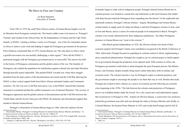### We Have to Free our Country

by Ryan Hamilton University of Toronto

<span id="page-14-0"></span>From 1963 to 1974, the small West African country of Guinea-Bissau fought a war for its liberation from Portuguese colonial rule. This brutal conflict came to be known as 'Portugal's Vietnam' and resulted in the African Party for the Independence of Guinea and the Cape Verde Islands, or PAIGC, winning a military victory over Portugal – one of the few nationalist armies in Africa to achieve such a feat and helping to topple the Portuguese government in the process.<sup>1</sup> Piero Gleijeses commented that, in 1972, Guinea-Bissau was "the only place in Africa where a guerilla movement was successfully challenging a white regime."2 How did the PAIGC's protracted struggle with the Portuguese government prove so successful? The answer lies both in the history of Portuguese colonization and the global context of the war. The brutality of Portuguese rule readied the population for mobilization against colonial rule and made liberation through peaceful means impossible. This pushed PAIGC towards war, where their struggle benefited from the dual context of the decolonization movement and the Cold War allowing the PAIGC to draw critical support both from fellow African nationalist leaders and Communist countries. Yet, this was not a Cold War-style proxy war, as the PAIGC ensured that Guineans remained in command and that the conflict remained a war of national liberation.<sup>3</sup> The severity of Portuguese oppression and the global contexts of decolonization and the Cold War between the United States and the Soviet Union gave the PAIGC the domestic and international support they needed to liberate Guinea-Bissau.

Portugal's colonization of Guinea-Bissau began in 1446, when the explorer Alvares

Fernandes began to trade with its indigenous people. Portugal claimed Guinea-Bissau but its colonial presence was limited to coastal forts and settlements as the local Guinean elite traded with them but prevented the Portuguese from expanding into the interior.<sup>4</sup> In the eighteenth and nineteenth centuries, Portugal's African colonies - Angola, Mozambique and Guinea-Bissau existed mainly as supply ports for ships travelling to and from Portuguese colonies in Asia, such as Goa and Macau, and as a source for enslaved people to be transported to Brazil. Portugal's colonies were mostly administered by their indigenous populations - the ethnic Portuguese presence in Guinea-Bissau was "scant in the extreme."5

After Brazil gained independence in 1822, the African colonies lost much of their economic purpose but Portugal's claims were nonetheless recognized at the Berlin Conference of 1884. Afterwards, Portugal focused on expanding its colonial control in Africa, implementing a more centralized administration. Portugal also sought to use its colonial project to build support for its government through the production of an imperial myth. With colonies in Africa, the Portuguese government could claim to stand alongside the great European powers, like Britain, France, and Germany, despite actually being much weaker than them, both in military and economic terms. The colonies became a way for Portugal to aspire to national greatness, and the government sought to encourage the people to see them that way as well. Besides that myth, Portugal also looked to their colonies as a source of economic growth following an economic crisis beginning in the 1870s.<sup>6</sup> The link between the colonies and projections of Portuguese power was solidified further under the *Estado Novo*, the conservative and authoritarian regime that seized power in Portugal in 1926. António de Oliveira Salazar, a conservative law professor, joined the government soon after and rose through the ranks as Finance Minister and, briefly, as Colonial Minister. He became Prime Minister in 1932 and would lead Portugal until he fell ill

<sup>1</sup> Peter Karibe Mendy, "Portugal's Civilizing Mission in Colonial Guinea-Bissau: Rhetoric and Reality," *International Journal of African Historical Studies*, Vol. 36, No.1 (2003): 57.

<sup>2</sup> Piero Gleijeses, *Conflicting Missions: Havana, Washington, and Africa, 1959-1976*, (Chapel Hill: University of North Carolina Press, 2002), 208.

<sup>3</sup> Gleijeses, *Conflicting Missions: Havana, Washington, and Africa, 1959-1976*, 197-199.

<sup>4</sup> Peter Karibe Mendy, "Portugal's Civilizing Mission in Colonial Guinea-Bissau: Rhetoric and Reality," *International Journal of African Historical Studies*, Vol. 36, No.1 (2003): 37.

<sup>5</sup> Norrie MacQueen, *The Decolonization of Portuguese Africa: Metropolitan Revolution and the Dissolution of Empire* (London: Longman, 1997), 2.

<sup>6</sup> Ibid, 2-6.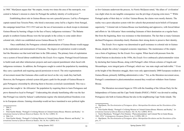in 1968.7 MacQueen argues that "the empire, twenty-two times the area of the metropole, was central to Salazar's mission to claim for Portugal the unlikely identity of world power."8

Establishing direct rule in Guinea-Bissau was not a peaceful process. Led by a Portuguese captain named Joao Teixeira Pinto, who hired a mercenary army led by a fugitive from Senegal, the campaign lasted from 1913-1915 and saw the use of mercenaries as shock troops to dominate Guinea-Bissau by burning villages in the face of heavy indigenous resistance.<sup>9</sup> The Balanta people in southern Guinea-Bissau were the last people in the colony to come under direct colonial rule, which was established across Guinea-Bissau by 1915.10

 Once established, the Portuguese colonial administration of Guinea-Bissau would engage in the exploitation and mistreatment of Guineans. The degree of exploitation would eventually fuel the liberation war that took hold later in the 20th century. The primary form of exploitation was a system of forced labour established by the *Estado Novo* regime. Portugal forced Guineans to build roads and other infastructure projects and used corporal punishment when faced with indigenous resistance. In addition, the Portuguese sought to control the population by mandating they carry a passbook and requiring special permission to travel. The strict regimentation of movement meant that Guineans often could not travel on the very roads they had built. However, the Portuguese colonial system did grant a path for the people of Guinea-Bissau to gain Portuguese citizenship by allowing them to become *assimilado* (assimilated). This was a process that sought to 'de-Africanize' the population by requiring them to learn Portuguese and prove themselves loyal to Portugal.11 Undercutting this already humiliating offer was the fact that Portugal was ruled by Salazar's authoritarian regime who denied political freedoms even to its European citizens. Gaining citizenship would not have translated to new political rights

so few Guineans underwent the process. As Norrie McQueen noted, "the allure of 'civilization' was slight when its one tangible consequence was the privilege of paying extra taxes."<sup>12</sup> While Portugal spoke of their duty to 'civilize' Guinea-Bissau, the claims were mostly rhetoric. The reality was a poor education system with few schools that promoted racist beliefs of European superiority.13 Colonial rule in Guinea-Bissau was humiliating and oppressive, with forced labour and efforts to 'de-Africanize' them reminding Guineans of their domination on a regular basis. But from the beginning, there was resistance to that domination. The fact that so many Guineans declined Portuguese citizenship clearly illustrates their strong desire to preserve their identity.

The *Estado Novo* regime was determined to quell resistance to colonial rule in Guinea-Bissau, despite the colony's marginal economic importance. The maintenance of the empire was a form of legitimacy for the *Estado Novo* regime. When faced with pressure from the United Nations to decolonize in the 1950s, the *Estado Novo* embraced a pluricontentalist vision by declaring that Guinea-Bissau, along with Portugal's other African colonies of Angola and Mozambique, were integral parts of Portugal, which was 'one state single and indivisible.'<sup>14</sup> Even at the height of the liberation struggle, there were only approximately 2000 Europeans resident in Guinea-Bissau, primarily fulfilling administrative roles.<sup>15</sup> Yet, as the liberation movement arose, Portugal's commitment to pluricontentalism ensured they would not withdraw from Guinea-Bissau.

The liberation movement began in 1956 with the founding of the African Party for the Independence of Guinea and the Cape Verde Islands (PAIGC). PAIGC was devoted to ending Portuguese rule both in Guinea-Bissau but also in the neighbouring Cape Verde islands. The

<sup>7</sup> Ibid, 9.

<sup>8</sup> Ibid, 9.

<sup>9</sup> Peter Karibe Mendy, "Portugal's Civilizing Mission in Colonial Guinea-Bissau: Rhetoric and Reality," *International Journal of African Historical Studies*, Vol. 36, No.1 (2003): 41.

<sup>10</sup> Ibid, 2-6.

<sup>11</sup> Peter Karibe Mendy, "Portugal's Civilizing Mission in Colonial Guinea-Bissau: Rhetoric and Reality," *International Journal of African Historical Studies*, Vol. 36, No.1 (2003): 42-5.

<sup>12</sup> MacQueen, *The Decolonization of Portuguese Africa: Metropolitan Revolution and the Dissolution of Empire*, 12.

<sup>13</sup> Peter Karibe Mendy, "Portugal's Civilizing Mission in Colonial Guinea-Bissau: Rhetoric and Reality," *International Journal of African Historical Studies*, Vol. 36, No.1 (2003): 49-52.

<sup>14</sup> Norrie MacQueen, "Portugal's First Domino: 'Pluricontinentalism' and Colonial War in Guiné-Bissau, 1963–1974," *Contemporary European History* 8, no. 2 (1999): 209–11.

<sup>15</sup> MacQueen, *The Decolonization of Portuguese Africa: Metropolitan Revolution and the Dissolution of Empire*, 37.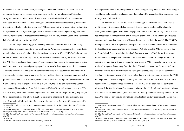movement's leader, Amilcar Cabral, encouraged a binational movement.16 Cabral was born in Guinea-Bissau, but his parents were from Cape Verde. He was educated in Portugal as an agronomist at the University of Lisbon, where he befriended other African students and developed an anti-colonial, Marxist ideology.17 Cabral was "the most theoretically profound of the nationalist leaders in Portuguese Africa."18 He saw decolonization as more than just political independence - it was a years-long process that necessitated a psychological struggle to free a country from colonial influences that was far larger than military victory. Cabral would carry that belief with him for the rest of his life.19

PAIGC began their struggle by focusing on strikes and direct action in cities. They formed their own union but, after it was infiltrated by Portuguese informants, chose to infiltrate the official union instead and mobilize the workers from within. When PAIGC called a strike of around 50 dock workers in August 1959, the workers were massacred by the police – this led the PAIGC to re-evaluated their strategy. They concluded that peaceful demonstrations in cities could not overcome a colonial power prepared to use deadly force against its colonial subjects. Therefore, they chose to move the struggle from the cities to the countryside and transform it from peaceful activism to an armed guerilla struggle. Recruitment in the countryside was a slow process, since the PAIGC's leadership were based in cities and Portuguese repression soon forced Cabral and his allies to organize from exile in Conakry, the capital of neighbouring Guinea, where pan-African socialist, Prime Minister Ahmed Sekou Touré had just come to power.<sup>20</sup> The PAIGC's early years show the evolving nature of the liberation campaign - initially they sought to use demonstrations and labour disruptions in cities to undermine the colonial regime and

force Portugal's withdrawal. After they came to the conclusion that peaceful engagement with

19 Ibid, 21.

the empire would not work, they pursued an armed struggle. They believed that armed struggle would need to be based in rural areas, even though PAIGC's leaders had little connection with those parts of Guinea-Bissau.

By January 1963, the PAIGC were ready to begin the liberation war. The PAIGC's mobilization of the countryside had especially focused on the south, notably where the Portuguese had struggled to dominate the population in the early 20th century. This history of resistance made their mobilization easier. By July, guerilla forces were attacking Portuguese garrisons and controlled large parts of Guinea-Bissau, especially in the south.21 The PAIGC's rapid gains forced the Portuguese army to spread out and made them vulnerable to ambushes. Portugal launched a counterattack in the south in 1964, allowing the PAIGC's forces to flee to Como Island. Once they fled to the island, Portugal sealed it off and the air force began to drop bombs and napalm on the island. They attacked the island for 75 days but failed to seize it and were finally forced to break the siege once the PAIGC opened a new eastern front to draw Portuguese forces away from the island.<sup>22</sup> MacQueen noted that the siege of Como marked a turning point as "henceforward Portuguese strategy was based on the defence of fortified positions and the use of air power rather than any serious attempt to engage the PAIGC on the ground."23 These strategies, including the use of napalm and the execution or forcible resettlement of villages deemed supportive of the PAIGC would soon lead the conflict to be nicknamed 'Portugal's Vietnam' as it was reminiscent of the U.S. military's strategy in Vietnam. <sup>24</sup> Cabral was a skilled diplomat, who was often in Conakry or abroad securing support for the PAIGC's efforts. Therefore, he only played a small role in military decisions. His vision was to

<sup>16</sup> Mustafah Dhada, *Warriors at Work: How Guinea was really set free*, (Niwot: University Press of Colorado, 2003), 1-3.

<sup>17</sup> Natalia Telepneva, "'Code Name SEKRETÁŘ': Amílcar Cabral, Czechoslovakia and the Role of Human Intelligence during the Cold War." *The International History Review*. 42:6 (2020), 1258.

<sup>18</sup> MacQueen, *The Decolonization of Portuguese Africa: Metropolitan Revolution and the Dissolution of Empire*, 21.

<sup>20</sup> Dhada, *Warriors at Work: How Guinea was really set free*, 3-11.

<sup>21</sup> MacQueen, *The Decolonization of Portuguese Africa: Metropolitan Revolution and the Dissolution of Empire*, 37-8.

<sup>22</sup> Mustafah Dhada, "The Liberation War in Guinea-Bissau Reconsidered," *The Journal of Military History* 62, no. 3 (1998): 572-6.

<sup>23</sup> MacQueen, *The Decolonization of Portuguese Africa: Metropolitan Revolution and the Dissolution of Empire*, 38.

<sup>24</sup> Peter Karibe Mendy, "Portugal's Civilizing Mission in Colonial Guinea-Bissau: Rhetoric and Reality," *International Journal of African Historical Studies*, Vol. 36, No.1 (2003): 57.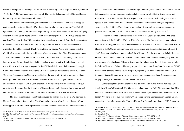drive the Portuguese out through attrition instead of defeating them in large battles.<sup>25</sup> By the mid 1960s, the PAIGC's military gains had slowed. They controlled around half of Guinea-Bissau, but notably controlled the border with Guinea.<sup>26</sup>

The control over the border grew important as the international contexts of struggles against decolonization and the Cold War began to play a larger role in the war. The PAIGC operated out of Conakry, the capital of neighbouring Guinea, where they were offered refuge by President Ahmed Sékou Touré, who had led Guinea to independence. This refuge proved vital and Touré's support for PAIGC shows that their struggle drew strength from the decolonization movement across Africa in the mid 20th century.<sup>27</sup> But the war in Guinea-Bissau became a symbol of the fight against anti-Black racism that went beyond Africa and connected to the Civil Rights movement in the United States. It became a symbol of Black liberation that many African-Americans felt a connection to. In 1967, Black Panther leader Stokely Carmichael, later known as Kwame Touré, travelled to Conakry, where he met with Cabral and proposed that African-Americans fight alongside the PAIGC in solidarity with their connected struggles. Cabral was concerned about drawing the US into the conflict, but agreed to accept 30 soldiers. Tanzanian President Julius Nyerere agreed to host the soldiers for training but these soldiers never got to Guinea-Bissau. Carmichael married a South African singer, moved to Guinea and the effort fell apart.28 While Carmichael and Nyerere's involvement amounted to little, it nevertheless illustrates that the liberation of Guinea-Bissau took place within a global struggle and that context drove Sékou Touré's vital support for the PAIGC's war for liberation.

The other international context that coloured the conflict was the Cold War between the United States and the Soviet Union. The Communist bloc saw Cabral as an ally and offered him support, but Cabral always prioritized decolonization above Marxism and other ideological

28 Ibid, 193-4.

goals. Nevertheless Cabral needed weapons to fight the Portuguese and the Soviets saw a Cabralled independent Guinea-Bissau as a potential ally. Cabral travelled to the Soviet Union and Czechoslovakia in 1961, before the war began, where the Czechoslovak intelligence service agreed to provide him with funds, arms and training.<sup>29</sup> The Soviet Union began to provide weapons to the PAIGC in 1965, shipping hundreds of firearms along with machine guns and grenade launchers, and hosted 75 of the PAIGC's soldiers for training in Ukraine.<sup>30</sup>

However, the most vital assistance came from Fidel Castro's Cuba, who established connections with the PAIGC in 1963. In 1964, Cabral met Che Guevara, who agreed to host soldiers for training in Cuba. The alliance accelerated afterwards and, when Cabral met Castro in Havana in 1966, Castro was impressed and agreed to provide doctors and military advisors. By 1967, there were 60 Cuban volunteers in Guinea-Bissau.31 The doctors ran hospitals in liberated areas of Guinea-Bissau, and until Guinean doctors joined them in the late 1960s, they were the main source of medical care.<sup>32</sup> Despite Soviet aid, the Cubans were the only foreigners to fight in Guinea-Bissau and Cabral deliberately kept their numbers low throughout the conflict. PAIGC needed the Cubans to operate Soviet weaponry, especially artillery, and to train the PAIGC's fighters in its use. Even as more Guineans learned how to operate artillery, Cubans remained largely in-charge of the weapons until the end of the war.<sup>33</sup>

Cabral accepted Communist aid but was determined to ensure that the war was a war for Guinea-Bissau's liberation led by Guineans, and not merely a Cold War proxy conflict. This connected specifically to Cabral's theories of decolonization; as he once said to another PAIGC leader, "We have to free our own country."34 He feared leaving an independant Guinea-Bissau dependent on his allies, decolonized but not liberated, so he made sure that the PAIGC made its

<sup>25</sup> Gleijeses, *Conflicting Missions: Havana, Washington, and Africa, 1959-1976*, 197-8.

<sup>26</sup> MacQueen, *The Decolonization of Portuguese Africa: Metropolitan Revolution and the Dissolution of Empire*, 38.

<sup>27</sup> Gleijeses, *Conflicting Missions: Havana, Washington, and Africa, 1959-1976*, 186.

<sup>29</sup> Natalia Telepneva, "Our Sacred Duty: The Soviet Union, the Liberation Movements in the Portuguese Colonies, and the Cold War, 1961-1975," (Doctorate thesis, London School of Economics, 2014), 85-9.

<sup>30</sup> Ibid, 141-4. 31 Ibid, 186-191.

<sup>32</sup> Gleijeses, *Conflicting Missions: Havana, Washington, and Africa, 1959-1976*, 201-3.

<sup>33</sup> Gleijeses, *Conflicting Missions: Havana, Washington, and Africa, 1959-1976*, 196-7.

<sup>34</sup> Quoted in Gleijeses, *Conflicting Missions: Havana, Washington, and Africa, 1959-1976*, 196.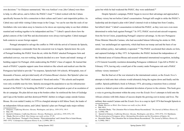own decisions.35 As Gleijeses summarized, "this was Amilcar's war; [the Cubans] were there to help, to offer advice, and to follow the PAIGC's lead."36 Cabral worked with the Cubans specifically because he felt a connection to their culture and Castro's anti-imperialist politics. As Cabral once said while visiting Cuban troops in the Congo, "we can be sure that the souls of our forefathers who were taken away to America to be slaves are rejoicing today to see their children reunited and working together to be independent and free."37 Cabral's speech shows how the global contexts of the Cold War and decolonization were always tied together. Cabral managed both contexts to secure foreign support.

Portugal attempted to salvage the conflict in 1968 with the arrival of Antonio de Spinola, a counter-insurgency commander from the concurrent war in Angola. Spinola knew the cycle of Portugal bombing the PAIGC from the air, while the PAIGC attacked Portuguese forts and ambushed convoys, was not working. Spinola decided on a new 'hearts and minds' strategy of building support for Portugal, while undercutting the PAIGC's base of support. He learned that much of PAIGC's popular support came from initiatives like schools and medical care that the Portuguese had failed to provide.<sup>38</sup> In response, Spinola built 164 schools, 40 hospitals, tens of thousands of houses, and provided nearly all of Guinea-Bissau's doctors. But Spinola's plan was not peaceful either. The PAIGC nicknamed it 'blood and smiles.'39 His schools and hospitals were only available near his forts. Spinola encouraged the population to use his infrastructure instead of the PAIGC's by bombing the PAIGC's schools and hospitals as part of an escalation of the air campaign. His plan did not stop at the borders either: he reinforced the forts of Guiledge and Copa at the borders and then destroyed PAIGC shelters in refugee camps outside Guinea-Bissau. He even raided Conakry in 1970 in a bungled attempt to kill Sékou Touré, the leader of an independent African nation, and Cabral. Spinola's plan saw Portugal make major military

35 Gleijeses, *Conflicting Missions: Havana, Washington, and Africa, 1959-1976*, 198-9.

39 Norrie MacQueen, "Portugal's First Domino: 'Pluricontinentalism' and Colonial War in Guiné-Bissau, 1963–1974," *Contemporary European History* 8, no. 2 (1999): 209–11.

gains but while he had weakened the PAIGC, they were undefeated.<sup>40</sup>

Despite Spinola's campaign, PAIGC began to recover their advantage and approached a military victory but not before Cabral's assassination. Portugal still sought to strike the PAIGC's leadership and developed a plan with Cabral's internal rivals to kidnap him from Conakry, but killed Cabral.<sup>41</sup> Cabral's assassination revitalized the PAIGC, as they were now even more determined to strike back against Portugal.<sup>42</sup> In 1972, PAIGC received anti-aircraft weaponry from the Soviet Union, jeopardizing Portugal's airpower advantage. As the new Portuguese Prime Minister Marcello Caetano, who had succeeded Salazar following his stroke in 1968, noted, "our unchallenged air superiority, which had been our trump card and the basis of our entire military policy...had suddenly evaporated."<sup>43</sup> The PAIGC accelerated their attacks on forts, and captured Guiledge in May 1973. In September, the PAIGC declared the independence of the liberated areas of Guinea-Bissau and secured substantial international recognition, including a UN General Assembly resolution demanding Portuguese withdrawal. Copa fell to PAIGC in February 1974, leaving only a small part of the country under Portuguese rule and a PAIGC military victory imminent.<sup>44</sup>

But the final act of the war returned to the international context, as the *Estado Novo*'s attempts to hold onto their colonies would ultimately bring the regime down and finally end the conflict. Spinola published a book in February 1974, advocating a transition from a colonial system to a federal system with a substantial devolution of power to the colonies. This book gave a voice to growing discontent within the army over the *Estado Novo*'s attempts to hold onto the African colonies with little chance of success despite the growing cost in money and lives. The military then ousted Caetano and the *Estado Novo* in a coup in April 1974 that brought Spinola to

<sup>36</sup> Ibid, 199.

<sup>37</sup> Quoted in Gleijeses, *Conflicting Missions: Havana, Washington, and Africa, 1959-1976*, 199.

<sup>38</sup> Dhada, *Warriors at Work: How Guinea was really set free*, 37-39.

<sup>40</sup> Dhada, *Warriors at Work: How Guinea was really set free*, 40-44.

<sup>41</sup> Ibid, 46-8.

<sup>42</sup> Mustafah Dhada, "The Liberation War in Guinea-Bissau Reconsidered," *The Journal of Military History* 62, no. 3 (1998): 590.

<sup>43</sup> Quoted in Gleijeses, *Conflicting Missions: Havana, Washington, and Africa, 1959-1976*, 210; MacQueen,

*The Decolonization of Portuguese Africa: Metropolitan Revolution and the Dissolution of Empire*, 64.

<sup>44</sup> Mustafah Dhada, "The Liberation War in Guinea-Bissau Reconsidered," *The Journal of Military History* 62, no. 3 (1998): 590-3.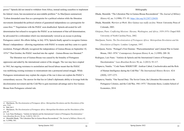power.45 Spinola did not intend to withdraw from Africa, instead seeking ceasefires to implement his federal vision, but encountered an unavoidable problem.<sup>46</sup> As MacQueen summarized, "Lisbon demanded cease fires as a prerequisite for a political solution while the liberation movements demanded the political solution of guaranteed independence as a prerequisite for cease-fires."47 Negotiations with the PAIGC soon deadlocked. Spinola advocated for selfdetermination but refused to recognize the PAIGC as an instrument of that self-determination; he advocated for a referendum which was internationally viewed as an excuse to prolong Portuguese control. His efforts failing, in July 1974, Spinola finally agreed to recognize Guinea-Bissau's independence - allowing negotiations with PAIGC to resume and they came to a quick resolution. Portugal officially recognized the independence of Guinea-Bissau on September 10, 1974. $48$  That October, the PAIGC marched into the capital – Guinea-Bissau was liberated. $49$ 

The liberation war of Guinea-Bissau was caused by the brutality of Portuguese oppression and aided by the international context of the struggle. The war may have erupted in 1963, but ongoing resistance to assimilation and forced labour meant that the PAIGC was mobilizing existing resistance to mistreatment into a protracted armed struggle. While Portuguese mistreatment may explain the origins of the war it does not explain the PAIGC's extraordinary success. The answer for that lies in Cabral's diplomatic ability to leverage both the decolonization movement and the Cold War to gain maximum advantage and to free Guinea-Bissau from Portuguese colonial rule.

45 MacQueen, *The Decolonization of Portuguese Africa: Metropolitan Revolution and the Dissolution of Empire*, 72-8.

- 48 Luís Nuno Rodrigues, "António de Spínola and the International Context of Portuguese Decolonization," *Luso-Brazilian Review* 50, no. 2 (2013): 103-113.
- 49 Mustafah Dhada, "The Liberation War in Guinea-Bissau Reconsidered," *The Journal of Military History* 62, no. 3 (1998): 593.

#### Bibliography

- Dhada, Mustafah. "The Liberation War in Guinea-Bissau Reconsidered." *The Journal of Military History* 62, no. 3 (1998): 571–93. [https://doi.org/10.2307/120438.](https://doi.org/10.2307/120438)
- Dhada, Mustafah. *Warriors at Work: How Guinea was really set free.* Niwot: University Press of Colorado, 2003.
- Gleijeses, Piero. *Conflicting Missions: Havana, Washington, and Africa, 1959-1976*. Chapel Hill: University of North Carolina Press, 2002.
- MacQueen, Norrie. *The Decolonization of Portuguese Africa: Metropolitan Revolution and the Dissolution of Empire*. London: Longman, 1997.
- MacQueen, Norrie. "Portugal's First Domino: 'Pluricontinentalism' and Colonial War in Guiné-Bissau, 1963–1974." *Contemporary European History* 8, no. 2 (1999): 209–30.

Rodrigues, Luís Nuno. "António de Spínola and the International Context of Portuguese Decolonization." *Luso-Brazilian Review* 50, no. 2 (2013): 93-117.

- Telepneva, Natalia. "'Code Name SEKRETÁŘ': Amílcar Cabral, Czechoslovakia and the Role of Human Intelligence during the Cold War." *The International History Review*. 42:6 (2020), 1257-1273.
- Telepneva, Natalia. "Our Sacred Duty: The Soviet Union, the Liberation Movements in the Portuguese Colonies, and the Cold War, 1961-1975." Doctorate thesis, London School of Economics, 2014.

<sup>46</sup> Ibid, 84-5.

<sup>47</sup> MacQueen, *The Decolonization of Portuguese Africa: Metropolitan Revolution and the Dissolution of Empire*, 85.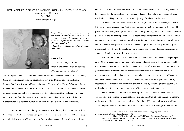<span id="page-20-0"></span>Rural Socialism in Nyerere's Tanzania: Ujamaa Villages, Kulaks, and International Finance Tyler Okeke University of Chicago



*"We, in Africa, have no more need of being 'converted' to socialism than we have need of being 'taught' democracy. Both are rooted in our past, in the traditional society which produced us." -- President of Tanzania, Julius Nyerere, 1964-1985*

#### **Introduction**

When prompted to think critically about the political trajectories of African states after independence

from European colonial rule, one cannot help but recall the visions of a new political economy based on egalitarianism and even development that littered the African continent from Leopold Senghor's Senegal to Kwame Nkrumah's Ghana to Julius Nyerere's Tanzania. In that moment of decolonization in the 1960s and 70s, African state leaders, at least those interested in transforming their political economies, were forced to confront the challenge of erecting new institutions from the colonial institutions they inherited -- institutions founded on the weaponization of difference, human exploitation, resource extraction, and dominance.

For those interested in building their states in the socialist political economic tradition, two kinds of institutional changes were paramount: (1) the creation of a political base of support that united all segments of African society from rural peasants to urban workers to civil servants, and (2) state capture or effective control of the commanding heights of the economy which can be understood as the national economy's crucial industries.<sup>1</sup> It is only when both are achieved that leaders could begin to chart their unique trajectory of socialist development.

In Tanzania, this advice was headed and in 1961, the year of independence, then Prime Minister of Tanganyika and later President of Tanzania, Julius Nyerere, spent the first year of his prime ministership organizing the nation's political party, the Tanganyika African National Union (TANU). He and the party's political leaders began transforming it from an anti-colonial African nationalist organization to a national socialist party focused on egalitarian socialist development and self-reliance. This political base for socialist development in Tanzania grew and very soon a significant proportion of the population was organized into ten party factions representing all segments of society, from youth to women to workers.

Furthermore, in 1967, after a significant fall in world prices for Tanzania's major export crops, Nyerere's party and government implemented policies that gave the government, and by extension the people, control over the commanding heights of the national economy.<sup>2</sup> Nyerere's government took over banks and insurance firms which made it exponentially easier for managers to direct credit and domestic revenues to key economic sectors in need of financing and toward development projects. They also placed key industries under parastatal control, incorporated the voices of workers in firm decision-making by expanding worker councils, and replaced transnational corporate managers with Tanzanian university graduates.<sup>3</sup>

The maintenance of a relatively cohesive political base of support under TANU and virtually effective control over national finance and key industries, allowed Tanzania to embark on its own socialist experiment and implement the policy of Ujamaa rural socialism, without fear of major disruption from international financial institutions, powerful governments in the

A. 1 Cabral, *Revolution in Guinea, and African People's Struggle* (London, 1969)

<sup>2</sup> *The Arusha Declaration* (Dar es Salaam, 1967)

A. 3 Seidman, "African Socilialism and the World System: Dependency, Transnational Corporations, & International Debt" *in C. Rosberg, T. Callaghy, Socialism in Sub-Saharan Africa: A New Assessment* (University of California, 1979)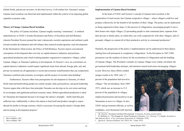Global North, and private investors. In this brief survey, I will outline how Tanzania's unique Ujamaa rural socialism was theorized and implemented within the context of an imposing global capitalist economic order.

#### **Theory of Change: Ujamaa Rural Socialism**

The policy of Ujamaa socialism, Ujamaa roughly meaning "community", is outlined authoritatively in TANU's Arusha Declaration and Policy of Socialism and Self-Reliance wherein President Nyerere penned the state's democratic socialist aspirations and outlined a path toward socialist development and self-reliance that centered around agrarian, rural development. In the Declaration's third section, the Policy of Self-Reliance, Nyerere rejects conventional conceptions of development that over-rely on capital-intensive industries and positions agricultural production and a hard-working populace organized in cooperative villages, called Ujamaa villages, as Tanzania's pathway to development. In Nyerere's view, an overreliance on capital-intensive industries would require significant loans from abroad, foreign gifts, aid, and private investment are all approaches to social and economic transformation that can compromise Tanzania's political and economic sovereignty and the project of socialist state-building.4

Furthermore, Nyerere offers four prerequisites for development in Tanzania, of which fertile land and hardworking people are central: people, land, good policies, and good leadership. Nyerere argues that with these four principles Tanzania can develop on its own terms and keep its sovereignty and egalitarian political economy intact. Robust agricultural production is ideal for Tanzanian development because it leverages the nation's strengths – fertile land that gets sufficient rain. Additionally, it allows the nation to feed itself and produce enough to export abroad for profits in foreign currency which is necessary for paying the nation's foreign debts and investing in development projects.<sup>5</sup>

At the heart of TANU and Nyerere's concept of Ujamaa rural socialism is the organization of rural society into Ujamaa cooperative villages – where villagers could live and produce collectively for the benefit of all members of their village. The policy can be understood as being organized in three steps: (1) the process of villagization, encouraging people to move their homes into single villages, (2) persuading people to start communal plots, separate from their private or family plots, on which they can work cooperatively with other villagers, and (3) persuade villagers to commit all of their productive activity to communal production.6

Similarly, the progression of the policy's implementation can be understood in three phases starting from soft persuasion to compulsory villagization.<sup>7</sup> In the first phase in 1967-1969, persuasion was the medium of choice for the acceleration of villagization and the building of Ujamaa villages. The President's remarks on Ujamaa villages were widely circulated, the government-held leadership seminars, and ministers toured rural areas encouraging villagers

to join. However, these efforts yielded meager results as by 1969, only 1.7 percent of the population had moved to villages.8 The second phase, from 1969- 1973, which saw an increase to 15.5 percent of the population in villages, employed persuasion and incentives to get Tanzanians to move to villages. In fact, TANU and government officials, as well as candidates, were threatened with rejection



<sup>6</sup> JK. Nyerere, "Socialism and Rural Development" in Nyerere, *Freedom and Socialism*

**Implementation of Ujamaa Rural Socialism**

<sup>7</sup> D. McHenry Jr., "The Struggle for Rural Socialism in Tanzania*" in C. Rosberg, T. Callaghy, Socialism in Sub-Saharan Africa: A New Assessment* (University of California, 1979)

<sup>8</sup> *Quarterly Statistical Bulletin*, Vol. XXVI, No. 1 (June 1975)

Dar es Salaam, 1967

<sup>5</sup> Dar es Salaam, 1967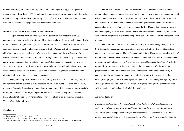or dismissal if they did not work closely with and live in villages. Finally, the last phase of implementation, from 1973 to 1976, employed the rapid compulsive enforcement of villagization timetables by regional administrators and by the end of 1976, in accordance with the president's deadline, 90 percent of the population had been moved to villages.<sup>9</sup>

#### **Domestic Frustrations & the International Community**

Despite the significant effort to organize the population into cooperative villages, communal production was largely a failure. This failure can be attributed, though not completely, to the famine and drought that ravaged the country in the 1970s -- which forced the nation to cede some ground to the liberalization demands of Bretton Woods institutions in order to receive aid -- but more aptly to a small group of very wealthy peasants, *kulaks*, who because of their subservience to the British colonial government during colonial rule received special incentives and were able to expand their private land holdings. When the policy was extended to areas where they were present, implementation was slow and protracted and regional administrators faced open resistance.<sup>10</sup> Class difference sowed by the colonial regime is what frustrated the effective building of Ujamaa socialism in Tanzania.

Though in many cases of socialist state-building across the African continent, foreign interference was what eventually caused socialist ambitions to crumble – such was not exactly the case in Tanzania. Tanzania owed large debts to international finance organizations, especially during the famine of the 1970s, but Nyerere's control of the nation's major industries and financial sector allowed for Western protests to rural socialism to have a minimal impact on Tanzania's socialist trajectory.11

**Conclusion**

The case of Tanzania is not unique because it boasts the achievement of socialist utopia; in fact, Nyerere's Ujamaa socialism was far from achieving utopia for reasons surveyed briefly above. However, why this case is unique lies in its relative unobstruction by the devices and whims of global capital which receives its marching orders from the Global North. An energized political base of support organized under the TANU and effective control over the commanding heights of the economy and the nation's banks secured Tanzania's political and economic sovereignty and allowed the real policy work of building socialism after colonization to commence.

The fall of the USSR and subsequent cementing of neoliberalism globally, enforced by U.S. monetary supremacy and international financial institutions, degraded the latitude of control African states could wield over their economic affairs. However, an emerging period of bipolarity and the significant investment of financial and human resources in the development of economic and trade cohesion in Africa (i.e. the African Continental Free Trade Area) offer opportunities for creative development policy on the continent. An effective development program cannot and will not be realized solely by theorization and scholarship but by trial and error and the maintenance of an aggressive feedback loop with the people. Analyzing development programs like President Nyerere's Ujamaa rural socialism gives legibility to the challenges of the past and offers lessons for effective grand strategy development policy on the African continent, and perhaps the Global South at large.

#### **Acknowledgements**

*I would like to thank Drs. Adom Getachew, Assistant Professor of Political Science at the University of Chicago, and Natacha Nsabimana, Assistant Professor of Anthropology at the University of Chicago, for providing a curricular space for the development of these ideas in their class The Idea of Africa, taught Spring 2021 -- which filled a persistent gap in* 

<sup>9</sup> Press Release A/2944/73, 6 November 1973

<sup>10</sup> Case No. 212 (Saidi Mwanwindi v. R.) Crim. Sess. 37-Iringa-72, 2 October 1972

<sup>11</sup> The Tanzanian reaction was bitter; see the editorial in *Sunday News* (Dar es Salaam), 22 December 1974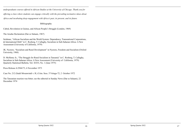*undergraduate courses offered in African Studies at the University of Chicago. Thank you for* 

*offering a class where students can engage critically with the prevailing normative ideas about* 

*Africa and incubating deep engagement with Africa's past, its present, and its future.* 

#### Bibliography

Cabral, Revolution in Guinea, and African People's Struggle (London, 1969)

The Arusha Declaration (Dar es Salaam, 1967)

Seidman, "African Socialism and the World System: Dependency, Transnational Corporations, & International Debt" in C. Rosberg, T. Callaghy, Socialism in Sub-Saharan Africa: A New Assessment (University of California, 1979)

JK. Nyerere, "Socialism and Rural Development" in Nyerere, Freedom and Socialism (Oxford University, 1968)

D. McHenry Jr., "The Struggle for Rural Socialism in Tanzania" in C. Rosberg, T. Callaghy, Socialism in Sub-Saharan Africa: A New Assessment (University of California, 1979) Quarterly Statistical Bulletin, Vol. XXVI, No. 1 (June 1975)

Press Release A/2944/73, 6 November 1973

Case No. 212 (Saidi Mwanwindi v. R.) Crim. Sess. 37-Iringa-72, 2 October 1972

The Tanzanian reaction was bitter; see the editorial in Sunday News (Dar es Salaam), 22 December 1974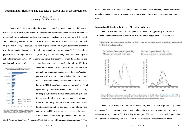## <span id="page-24-0"></span>International Migration: The Legacies of Labor and Trade Agreements

#### Arely Alacron University of California Riverside

International affairs are vital to the global economy, development, and even diplomacy between states. However, one of the driving issues that affect international affairs is international migration because states seek out labor and trade agreements in order to keep up with the supply and demand of globalization. Mexico is one of many countries in the world where international migration is encouraged because of its labor surplus, unemployment, and poverty that strained its own development and economy. Although international migrants only make "3.5% of the global population" according to the *World Migration Report 2020* written by the International Organization for Migration (IOM) (20). Migrants may leave their country of origin if push factors like conflict such as wars, violence, and persecution that relates to political and religious affiliations



occur within a state. Professor Marissa Brookes defines an international migrant as an individual who i) has "settled permanently" in another country, ii) has "temporary contracts", iii) is employed by transnational corporations also known as (TNCS), iv) "undocumented workers", or v) "refugees and asylum seekers" (Lecture Wk 6, Slide 3, 11-16). In this paper, I intend to discuss international migration and the legacies of both labor and trade agreements between states in order to explore how international affairs are vital to international migration: how the overview of migration patterns in the U.S. lead to agreements such as the case study of Mexico: Bracero Program (1942-1964) and the

North American Free Trade Agreement (NAFTA), the role of transnational corporations (TNCs)

on free trade as seen in the case of India, and how the health crisis caused by the coronavirus has devastated many economies which could potentially lead to higher rates of international migration.

#### **International Migration: Patterns of Migration in the U.S.**

The U.S. has a reputation for being known as the land of opportunity to pursue the American dream which is seen in the United Nation's annual report entitled, *International* 

by U.S. Dept. of Agriculture



Sources: In Figure A4a the annual total outflow of braceros from Mexico to the U.S. is from Gonzilez Navarro (1974, Vol. 2, Cuadro 39. p. 141), which sources principally the Anuario Estadistico de los Estados Unidos de México but contains data not<br>seported in the Anuario, for years 1955–1957, gathered directly from the government by the author.

Mexico is an example of a middle-income country that has a labor surplus and a growing income gap. This has caused unemployment and poverty to undermine its ambition to build a strong and steady economy. The *World Migration Report 2020* by the International Organization of Migration (IOM) highlighted that Mexico makes the second largest country in which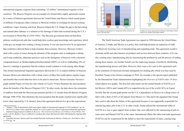international migrants originate from estimating "12 million" international migrants in host countries.<sup>1</sup> The Bracero Program was an example of a formal labor supply agreement created by a series of bilateral agreements between the United States and Mexico which issued grants of millions of temporary labor contracts to Mexican workers in exchange for decent working conditions, wages, housing, and food. Braceros helped the U.S. bridge the gap in the harvesting and manual labor industry as a solution to the shortage of labor that occurred during the U.S.'s involvement in World War II (1939-1945).<sup>2</sup> The Mexican government believed that these policies would provide jobs that would help their workers gain knowledge and experience which could give an insight into creating a strong economy. It was also perceived to be an agreement that could have allowed them to help stimulate their economy. However, Mexican workers dealt with a series of issues during the duration of this program such as inadequate working and living conditions, inhumane practices such as the fumigation of braceros with a chemical compound known as Dichlorodiphenyltrichloroethane (DDT), as well as withholding 10% of bracero's earnings to guarantee that the workers would continue to work among other things.<sup>3</sup> This formal international migration agreement allowed the U.S. to exploit millions of braceros because Mexico provided them with a cheap source of labor that could replace regular wages and benefits that would otherwise have to be paid to Americans. Moises Gonzalez Navarro's graph entitled Figure A4 from his 2nd volume of *Cuadro 39* best illustrates the misconception about the benefits of the Bracero Program (141).<sup>4</sup> In other words, the data shows the estimation of outflows from both the Mexican government and the U.S. (results from the Bracero Program through 1940-1970). This illustrates the misconception that the peaks reached were significantly lower when reported by U.S. farmers, hence this agreement did not live up to the expectations

3 National Young Farmers Coalition in *Braceros: The Controversial History of US-Mexico Farm Worker Programs with Dr. Matthew Garcia* explored in a podcast the issues that braceros dealt with during the ongoing labor agreement.



The North American Trade Agreement was signed in 1994 between the United States of America, Canada, and Mexico as a policy that could help promote an expansion of trade by effectively lowering costs of manufacturing and expanding trade. This agreement would i) eliminate tariffs and other barriers on products and services between these countries. ii) It was also creating many manufacturing jobs by maximizing the productivity and the process of trading among these nations. iii) Another benefit was the improving margins of profits by distributing the manufacturing process and labor. However, there were a few cons to this agreement such as the sentiment of Americans towards immigrants for stealing jobs which was later used by President Trump in his election campaign in 2016. An example is the special report published by the International Trade Administration highlighting the *Overview of NAFTA After 10 Years* which depicts two graphs. The first (left side) points out the mutual benefit of NAFTA as it led Mexico (106%) and Canada (62%) to outperform the rest of the world (36%) in Export Growth. But the second graph points out the U.S.'s dependence on Mexico as a cheap source of labor with a share of 63% of all imports from Mexico (1). This led to the argument that Trump later used to talk about the failure of this agreement because it was supposedly responsible for outsourcing many jobs in the U.S. In other words, Trump utilized the international affair of NAFTA as a way to gain support from workers who were affected by the outsourcing of jobs in some areas and blamed NAFTA as the cause. International affairs like labor and trade agreements (NAFTA) can be weaponized for the failure to meet the expectations of states, causing long-

<sup>1 &</sup>quot;Figure 3: Top 20 destinations (left) and origins (right) of international migrants in 2019 (millions)" pg. 44

<sup>2</sup> The UCLA Labor Center stated this statistic as a way to point out a motive and reason behind the agreement.

<sup>4</sup> Gonzalez Navarro, Moises and Universidad Nacional Autónoma de México, *Poblacion y Sociedad en Mexico* 1974, pg. 141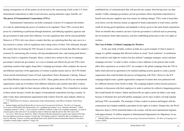lasting consequences on all the parties involved such as the outsourcing of jobs in the U.S. from transnational corporations in order to prevent taxes, paying minimum wages, benefits, etc.<sup>5</sup> **The power of Transnational Corporations (TNCs)** 

Transnational Corporations can hold a monopoly of power if it surpasses the borders of a state by undermining the power of countries to be regulated. These TNCs exercise their power by contributing to politicians through donations, and lobbying regulatory agencies and the government to help assert their influence over the regulations that will be enacted globally. Moreover, if TNCs feel wary about a country that they are exploiting then they may move to a less restrictive country with no regulations and a cheap source of labor. This ultimately disrupts the country that was hosting the TNC because it creates a series of issues that affect the country's economy by outsourcing jobs overseas, driving unemployment rates, and causing push factors that may lead to a migration of people. Hence, workers have turned to the use of campaign governance<sup>6</sup> and private governance<sup>7</sup> as a way to mediate and effectively prevent TNCs from exploiting countries that supply cheap labor. Campaign governance often compares the success and different outcomes of the approaches of workers in global unions such as: the UNI Global Union and the International Union of Food, Agricultural, Hotel, Restaurant, Catering, Tobacco and Allied Workers Associations known as (IUF). These global unions (GUFs) are international organizations made up of members from different industries and countries that allow workers across the world to fight for their interests within the same industry. This is beneficial to workers in these unions because it limits the impact of transnational corporations leaving a country. In other words, these international organizations help workers from the same industry obtain an

5 U.S. Department of Commerce, International Trade Administration, and Office of Industry Trade Policy 2004, 1

best encompasses private governance. It states that "developing countries" should be able to strengthen our society by allowing "citizens..to define and defend their social, political and environmental interests..from elites... corruption, human rights violations" (Vogel, 82).

established line of communication that will prevent one country from having more say than another. Unlike campaign governance, private governance allows big brand corporations to benefit more because suppliers may lose money for making changes. TNCs want to keep labor costs down; cost the factories money as opposed to brand corporations or retail stores, and the credit for having good regulations and standards is always given to the name brand corporations. There are benefits that countries can have if private governance is utilized such as protecting the environment, better labor practices, and also establishing protections to the civil rights of workers.

#### **The Case of India: A Global Campaign for Workers**

In the case study of India, workers in India are a good example of what it means to engage in a global campaign that allowed workers to create "local coalitions'' as institutions that would not only fight for workers but also utilized "campaign strategies, tactics and postcampaign activities'' in order to allow workers to have influence in the policies that would affect their experiences as workers  $(29)$ .<sup>8</sup> An example is the global campaign from the UNI in India which allowed an agreement to be reached enabling security guards to create a partial organization that could facilitate the process of bargaining with TNCs. However, the IUF campaign helped create a global organization composed of unions that were partnered with five different factories from Nestle in India. The campaign helped workers become proactive members in discussion with their employers in order to petition for collective bargaining policies that would benefit all workers. Sarkar and Kuruvilla are right to point out India's case study because it illustrates how powerful global campaigns can be since workers can help regulate and keep TNCs accountable. The strategies of these workers to protest and bargain with the corporations have helped establish a precedent for the rights of workers. Despite this, the *World Migration Report (2020)* stated that India is the country with the most international migrants with approximately 18 million migrants in (International Organization for Migration). In my 8 Santanu Sarkar and Sarosh Kuruvilla in *Constructing Transnational Solidarity: The Role of Campaign Governance* (2020)

<sup>6</sup> Santanu Sarkar and Sarosh Kuruvilla in *Constructing Transnational Solidarity: The Role of Campaign Governance* (2020) define the characteristics of a "campaign governance" as a) "internal consistency" within "campaign elements'' and b) "...local concerns in affiliate countries to find voice in global campaigns...to result in concrete gains at the local level" are needed in order to effectively fight the power that TNCs have (29). 7 In *Lecture\_Wk8 Tuesday Slideshow*, Slide 9, Professor Brookes pointed out a quote from Vogel in 2010 that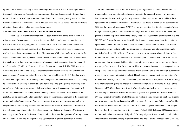opinion, one of the reasons why international migration occurs is due to push and pull factors that may be attributed to Transnational Corporations when they leave a country for another in order to limit the costs of regulations and higher labor costs. These types of governance allow workers to disrupt the international affairs between states and TNCs, hence allowing workers to effectively bargain their rights, wages, and conditions.

#### **Pandemic & Coronavirus: A New Era for the Modern Worker**

In conclusion, international migration has been instrumental to the development and establishment of every country because migrants have helped build many economies around the world. However, many migrants left their countries due to push factors that led them to escape conflict and a lack of opportunity in their country of origin. This paper is intended to explore international migrants as a subject of international affairs that can be showcased by the legacies of labor and trade agreements that impacted workers around the world. At the moment, there is little to no data regarding the impact of the pandemic that resulted from the spread of the Coronavirus (Covid 19). However, a Census Bureau survey entitled, *The 2019 [American](https://www.census.gov/programs-surveys/acs/)  [Community Survey](https://www.census.gov/programs-surveys/acs/)* stated that "69% of undocumented immigrant workers hold jobs that are deemed essential" according to the [Department of Homeland Security \(DHS\).](https://www.dhs.gov/) In other words, international migrant workers are facing a double-edged sword in host countries such as having to choose between working in the middle of a health crisis and getting covid or working with no safety net (stimulus or government help) or losing a job with an economy that has turned into a Great Depression. The reality is that the long-term consequences of the pandemic will probably not be known until a few years have gone by. International migration is the intersection of international affairs that stems from states to states, from states to corporations, and from corporations to workers. My intention was to illustrate the trends of international migration in the U.S. as an international affair that affects the policies that are implemented, Mexico as a case study with a focus on the Bracero Program which illustrates the injustices of this agreement and also how NAFTA and the impact of this agreement on migration perception in the U.S.

After this, I focused on TNCs and the different types of governance with a focus on India as a case study of how important global campaigns are to the causes of workers. My intention is to showcase the historical legacies of agreements in both Mexico and India and how those agreements have impacted international migration. I also intend to reflect on the policies in the U.S. like the Bracero Program and NAFTA as lost opportunities that failed as a result of a lack of a global campaign that could have allowed all parties and workers to voice the issues and priorities of their respective institutions. Ideally, Free Trade Agreements or any agreements like NAFTA and Bracero Program would consider the impact on workers and their rights but these agreements failed to provide workers a platform where workers could be heard. The Bracero Program has unjust working and living conditions for Mexicans and international migrants are facing harsh conditions like the Braceros because they are jeopardizing their lives in the middle of a pandemic for another dollar in order to pay bills. On the other hand, NAFTA was an example of an agreement that benefitted corporations by lowering prices and having bigger margin profits. However, this also caused the U.S. to outsource jobs and create a dependence on cheap labor. I also talked about India because it is an example of a global campaign but also it is a country in which migration is the highest. This allowed me to examine the culmination of all of these historical legacies and the unanswered questions and data that prevent us from knowing how international migrants are impacted. International migrants are repeating the cycle of the Braceros and TNCs are benefitting from it. Capitalism has strained workers between choices that will impact their lives as workers who live paycheck to paycheck and live the American Dream. The reality is that this era for the modern worker is scary because international migrants are working as essential workers and providing services that are helping fight against Covid in the front line. At the same time, we are left with the knowledge that more than 37,000 people have lost their lives migrating during this pandemic (March 2020-February 2021) according to the International Organization for Migration's *Missing Migrants Project* which is not including "the thousands of deaths...among migrant workers and [their] deaths" connected to COVID-19.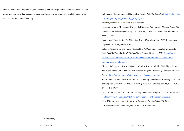Hence, international migrants ought to create a global campaign in which they advocate for their rights and gain hazard pay, access to basic healthcare, or even grants that can help unemployed workers pay bills more effectively.

Ballotpedia. "Immigration and Nationality Act of 1952." *Ballotpedia*, [https://ballotpedia.](https://ballotpedia.org/Immigration_and_Nationality_Act_of_1952) [org/Immigration\\_and\\_Nationality\\_Act\\_of\\_1952.](https://ballotpedia.org/Immigration_and_Nationality_Act_of_1952)

Brookes, Marrisa. *Lecture\_Wk 6 & 8 Slideshow*.

Gonzalez Navarro, Moises, and Universidad Nacional Autonoma de Mexico. *Población y sociedad en México (1900-1970)*. 1 ed., Mexico, Universidad Nacional Autónoma de México, 1974.

International Organization For Migration. *World Migration Report 2020*. International Organization for Migration, 2019.

Lahoud, Raymond G., and Norris McLaughlin. "69% of Undocumented Immigrants Hold COVID-Essential Jobs." *National Law Review*, 14 January 2021, [https://www.](https://www.natlawreview.com/article/study-says-69-undocumented-immigrant-workers-hold-essential-jobs-to-fight-covid) [natlawreview.com/article/study-says-69-undocumented-immigrant-workers-hold](https://www.natlawreview.com/article/study-says-69-undocumented-immigrant-workers-hold-essential-jobs-to-fight-covid)[essential-jobs-to-fight-covid](https://www.natlawreview.com/article/study-says-69-undocumented-immigrant-workers-hold-essential-jobs-to-fight-covid).

Library of Congress. "Research Guides: A Latinx Resource Guide: Civil Rights Cases and Events in the United States: 1942: Bracero Program." *Library of Congress Research Guides*, [https://guides.loc.gov/latinx-civil-rights/bracero-program.](https://guides.loc.gov/latinx-civil-rights/bracero-program)

Sarkar, Santanu, and Sarosh Kuruvilla. "Constructing Transnational Solidarity: The Role of Campaign Governance." *British Journal of Industrial Relations*, vol. 58, no. 1, 2019. 10.1111/bjir.12465.

UCLA Labor Center. "UCLA Labor Center | The Bracero Program." *UCLA Labor Center |*,<https://www.labor.ucla.edu/what-we-do/research-tools/the-bracero-program>

United Nations. *International Migration Report 2017 - Highlights*. UN, 2018.

U.S. Department of Commerce, et al. *NAFTA 10 Years Later*.

Bibliogrpahy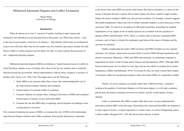<span id="page-29-0"></span>Militarized Internstate Disputes and Conflict Esclatation

Mason Wang University of Chicago

#### **Introduction**

When do nations go to war? A vast pool of studies, looking at many regions and timeframes, has identified several structural factors that predict war. While these factors – such as the type of government a state has or its alliances – help identify which states are predisposed to go to war with each other, they do not explain why two countries' grievances escalate into fullblown conflict in certain instances but not others. For that, we must examine the precursors of war - militarized interstate disputes.

Militarized interstate disputes (MIDs) are defined as "united historical cases of conflict in which the threat, display or use of military force short of war by one member state is explicitly directed towards the government, official representatives, official forces, property, or territory of another state" (Jones et al. 1996, 163). This paper aims to do the following:

- 1. Study MIDs as an outcome rather than a cause, thus understanding their role in the steps between dispute initiation and escalation
- 2. Extend studies of recurrent conflict to escalation
- 3. Examine relations on a dyadic basis, looking at the history of MIDs and escalation between pairs of nations, not just individual MIDs
- 4. Examine the role that MIDs play in signaling, and incorporate our findings to into existing theories of resolve.

First, instead of studying the causes of MIDs, we examine the role of MIDs in the intermediate steps between dispute initiation and conflict escalation. Drawing this distinction is important

as the factors that cause MIDs are not the same factors that lead to escalation, so a focus on the causes of disputes between countries fails to fully explain why those countries might escalate. Indeed, the factors leading to MIDs may also prevent escalation. For example, research suggests that media transparency reduces the risk of military interstate disputes, as does democracy (Choi and James 2006, 23). However, an analysis of 300 dyads found that, controlling for standard explanations of war, higher levels of media exposure are correlated with the escalation of disputes (Miller and Bokemper, 2016). There is a relative lack of literature examining MIDs as causes, and we hope to remedy the explanatory gap between the causes of disputes and the outcome of escalation.

Further complicating the matter, MID recurrence and MID escalation are two separate outcomes. For instance, democracies are more likely to resolve MIDs through negotiations and mutual concessions (Mousseau, 1998), and MIDs that terminate via settlements (imposed or negotiated) are likely to lead to longer peace (Senese and Quackenbush, 2003). Although MIDs between democracies are less likely to recur, they may be more likely to escalate due to media transparency (Miller and Bokemper, 2016). To account for this, our study extends these studies of recurrent conflict by introducing escalation, rather than future MIDs, as a dependent variable.

Thirdly, we review relations on a dyadic rather than a MID-level basis - instead of looking at the qualities of individual disputes or of the latest dispute, we will study escalation pair-by-pair, the history of disputes between two nations, and the overall quality of those disputes.

Lastly, to understand why MIDs escalate rather than recur, we must understand the motivations behind MIDs in the first place. Researchers have theorized that MIDs are initiated as a costly signal of resolve, to attach importance to certain issues, as a form of bargaining, and/or to deter conflict (Wiegand 2011, 103). We discuss these theories in detail.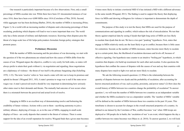Our research is particularly important because of a few observations. First, only a small percentage of MIDs escalate into war. While there have been 221 documented instances of war since 1816, there have been over 4,000 MIDs since 1816 (Correlates of War, 2018). Second, while aggregate war has been declining (Barber, 2016), the number of MIDs is increasing (Prins; Figure 1). In a world with an increasing number of disputes and a decreasing percentage of them escalating, predicting which disputes will lead to war is more important than ever. The world only has a finite amount of military and diplomatic resources. Knowing when disputes pose the threat of a large-scale loss of life helps policymakers formulate foreign policy strategies that promote peace.

#### **Preliminary Discussion**

With the number of MIDs increasing and the prevalence of war decreasing, we start with the question of if the two phenomena are related and how the causes of MIDs differ from the causes of war. Wiegand argues the objective, conflict is very costly for both sides, so states will always prefer to attain their goals without it, via negotiation and signaling; these negotiations are a diplomacy of violence - the threat of war itself is the primary bargaining chip (Schelling 1970, 1-33). The term 'resolve' refers to 'how much a state will risk war to keep its promises and uphold its threats' (Wiegand 2011, 103). A state's promise to wage war is null if the state never wages war. A state's perceived resolve should be very important in determining how seriously other states react to their demands and threats. The mutually bad outcome of war occurs when there is a mismatch between the perceived and actual levels of resolve.

Engaging in MIDs is an excellent way of demonstrating resolve and bolstering the credibility of future violence. Actions with a cost to them - sacrificing autonomy to join a military alliance, deploying of troops, or, as in the case of MIDs, engaging in small-scale displays of force - are costly deposits that commit to the threat of violence. There is some support for the idea of an overall reputation for resolve; Wiegand finds that a given state becomes 4 times more likely to initiate a territorial MID if it has initiated a MID with a different adversary in the same month (Wiegand, 2011). The finding is used to support the theory that displaying force via MIDs and showing willingness for violence is important to demonstrate the depth of commitments.

The purpose of this study is to test the theory that MIDs are used for the purpose of communications and signaling in conflict, which reduces the risk of miscalculation. We test that theory against empirical data by seeing if dyads that fight long series of MIDs are less likely to escalate than dyads that do not. We have a two-part "peaking" hypothesis. First, states that engage in MIDs relatively rarely are the least likely to go to conflict, because there is little cause for contention. Second, as the number of MIDs increases, states become more likely to escalate up to a certain point; then, the likelihood of escalation decreases and levels off, because of effective signaling. Our hypothesis runs counter to an intuitive "boiling pot" hypothesis, in which countries that dispute a lot build up resentment for each other and escalate. It also questions the hypotheses that conflate the causes of disputes with the causes of war and say that countries with many disputes have much to fight over and are more likely to escalate.

We ask the following research questions: (1) What is the relationship between the quantity of disputes between two dyads and the probability of escalation, after accounting for known structural predictors of war, such as polity, proximity, and power status? (2) How does the overall history of MIDs between two countries change the probability of escalation? To answer question 1, we will treat the number of MIDs between two countries as an independent variable and whether the MIDs escalated to war as a dependent variable. The 'number of MIDs' variable will be defined as the number of MIDs between those two countries in the past 10 years. This timeframe is chosen to account for changes in the overall structural properties of a country. As defined in our dataset by the Correlates of War, conflict becomes 'war' when 1000 troops are deployed or 100 people die in battle; the 'escalation of war' is an event, which happens the day a conflict between two states becomes war (Maoz et. al. 2018). To answer question 2, we will look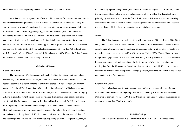at the hostility level of disputes by median and their average settlement results.

What known structural predictors of war should we account for? Bremer ranks commonly hypothesized structural predictors of war in terms of their actual effect on the probability of war. In descending order of importance, they are: proximity, power status, presence of alliances, militarization, democratization, power parity, and economic development, with the latter two having little effect (Bremer, 1992). Of these, we have selected proximity, power status, and democratization as predictors (Bremer's finding that alliances increase the risk of war is controversial). We follow Bremer's methodology and define 'proximate states' by land or water contiguity, with water contiguity being states that are separated by less than 400 miles of water as defined by Correlates of War Contiguity 3.1 (Douglas et. al. 2002). We use the Polity Project's assessment of how democratic states are (CSP, 2014).

#### **Methods and Datasets**

#### **Correlates of War**

The Correlates of War datasets are well established in international relations studies, because they are free and easy to access, contain extensive narratives about each instance, and research countries in different times to an exhaustive degree of historical rigor. Our primary dataset is Dyadic MIDs 3.1, compiled in 2019, which lists all recorded MIDs between dyads from 1816-2010. In total, it contains information on 4,591 MIDs. We also use Direct Contiguity 3.1, which considers water borders consistent with our definitions and has information from 1816-2006. The datasets were created by dividing up historical research for different datasets (ICPSR) among institutions nationwide that agree to maintain, update, and add to them. Historical inaccuracies and errors are found by scholars throughout the world, and the datasets are updated accordingly. Dyadic MIDs 3.1 contains information on the start and end times of the disputes (to the day), the outcome of the dispute (victory, stalemate, compromise), the type

of settlement (imposed or negotiated), the number of deaths, the highest level of military action, the initiator, and the number of states involved, among other variables. The dataset is limited primarily by its historical accuracy - the farther back the recorded MIDs are, the more missing data there is. The frequency at which the dataset is updated with new information indicates that the exact details of MIDs from two centuries ago are not always accurate.

#### **Polity 4**

The Polity 4 dataset covers all countries with more than 500,000 people from 1800-2000 and gathers historical data on these countries. The creators of the dataset evaluate the method of executive recruitment, constraints on political competition, and a variety of other factors to give the nation a democracy score from  $-10$  to  $+10$  over time (Polity, 2020). Figure 2 is an example of a provided graph we use to evaluate states over time (Authority Trends, 1947-2013: Pakistan). Such an evaluation is subjective, and just like the Correlates of War datasets, contain more missing data from the 19th century. In addition, there are a few recorded MIDs between states that have only existed for a brief period of time (e.g. Saxony, Mecklenburg Schwerin) and are not documented by the Polity dataset.

#### **Great Power Status**

Lastly, classifications of great powers throughout history are generally agreed upon with some minor discrepancies regarding timeframes. University of Buffalo Professor Vesna Danilovic deliberates over these in "When the Stakes are High", and we use her classification of great powers over time (Danilovic, 2002).

#### **Variable Codings**

For each dispute between two countries from 1816-2010, a war is classified by the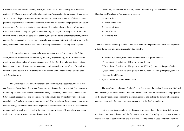Correlates of War as a dispute having over 1,000 battle deaths. Each country with 100 battle deaths or 1,000 deployments in 'battle-related activities' is considered a participant (Maoz et. al., 2018). For each dispute between two countries, we also measure the number of disputes in the previous 10 years between those two countries. From this, we compute the proportion of disputes that are wars. We discuss potential shortcomings of this methodology at the end of this paper. Countries that have undergone significant restructuring, to the point of being coded differently by the Correlates of War, are considered separate, and dispute counts before restructuring are not counted for incidents after it. Also, wars themselves are counted in these ten disputes, solving the analytical issue of countries that war frequently being represented as having fewer disputes.

A democratic country in a particular year is one that scores 6 or above on the Polity Index, since this is the classification used by the Polity Project (Polity, 2020). In each disputedyad, we count the number of democratic countries (0, 1 or 2), which tells us if the dispute is between two democratic countries, two non-democratic countries, or one of each. We code the number of great powers in a dyad using the same system, with 2 representing a dispute-dyad with 2 great powers.

The Correlates of War dataset includes 4 settlement results: Negotiated, Imposed, None, and Ongoing. According to Senese and Quackenbush, disputes that are negotiated or imposed are more likely to avoid sustained conflict (Senese and Quackenbush, 2003). To test the distinction between conflict recurrence and escalation, we code disputes that are settled by imposition or negotiation as 0 and disputes that are not settled as 1. For each dispute between two countries, we take the average settlement result of the disputes between those countries from the past ten years as a number between 0 and 1. Dyads without any disputes in the past 10 years have an average settlement result of 0, as there are no disputes to settle.

In addition, we consider the hostility level of previous disputes between the countries. Based on the Correlates of War codings, we assign:

- 0 No Hostility
- 1 Threat to use force
- 2 Display of force
- 3 Use of force
- 4 Interstate War

The median dispute hostility is calculated for the dyad, for the previous ten years. No disputes in a dyad during this timeframe is considered no hostility.

To test our hypothesis, we will use a stepwise series of probit models:

- 1. P(Escalation)  $\sim$  Quadratic(# of Disputes in past 10 Years)
- 2. P(Escalation)  $\sim$  Quadratic(# of Disputes in past 10 Years) + Average Dispute Qualities
- 3. P(Escalation) ~ Quadratic(# of Disputes in past 10 Years) + Average Dispute Qualities + Structural Dyad Factors
- 4. P(Escalation)  $\sim$  Structural Dyad Factor

The term "Average Dispute Qualities" is used to refer to the median dispute hostility level and the average settlement results. "Structural Dyad Factors" are the variables that are properties of the country themself as opposed to individual disputes and include the number of democratic countries in the pair, the number of great powers, and if the dyad is contiguous.

Using a stepwise methodology in this case is important due to the collinearity between the factors that causes disputes and the factors that cause war. It is highly expected that structural factors that lead to escalation also lead to disputes. The first model is used simply to determine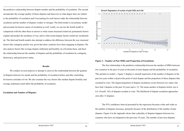the predictive relationship between dispute number and the probability of escalation. The second incorporates the average quality of those disputes and discovers to what degree they are related to the probability of escalation and if accounting for such factors make the relationship between escalation and the number of disputes weaker or stronger. The third model is our primary model and accounts for known causes of escalation as well. Lastly, we can use the fourth model in comparison with the other three to answer to what extent structural (relatively permanent) factors explain and predict the incidence of war, and to what extent dispute factors (relatively incidental) do. The third and fourth models also attempt to address the difference between the way structural factors like contiguity predict war, given that these countries have been engaging in disputes. We also analyze factors like average dispute settlement and hostility on a bivariate basis, and facet the relationship between the number of disputes and the probability of escalation by contiguity, democracy, and great power status.

#### **Results**

We conduct several analyses to attempt to uncover the relationship between the quantity of disputes between two dyads and the probability of escalation before and after controlling for known correlates of war. We also examine the way factors like median dispute hostility and average settlement result affect the probability of escalation.

#### **Escalation and Number of Disputes**



#### **Figure 3 - Number of Past MIDs and Proportion of Escalations**

The first relationship is the predictive relationship between the number of MIDs between two countries in the past 10 years at the point of each dispute and the probability of escalation. This pertains to model 1. Figure 3 displays a smooth regression of the number of disputes in the past ten years within a dyad at the point of each dispute and the proportion of those disputes that escalated to wars. The largest proportion of dispute escalations occurs between two states who have had 3 disputes in the past 10 years and is .23. The mean number of disputes before war is 6.6. Overall, 14% of disputes escalate to wars. The likelihood of dispute escalation approaches zero after 15 disputes.

The 95% confidence interval presented by the regression becomes wider and wider as the number of disputes increases, primarily because of the distribution of the number of past disputes. Figure 4 in the Appendix shows that a plurality of disputes happens between two countries who have not disputed in the previous 10 years. The number of previous disputes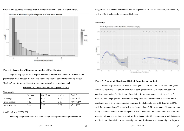

#### between two countries decreases (nearly) monotonically in a Pareto-like distribution.

#### **Figure 4 - Proportion of Disputes by Number of Past Disputes**

Figure 4 displays, for each dispute between two states, the number of disputes in the previous ten years between the same two states. The result is somewhat promising for our "Peaking" hypothesis, which we test using our probability regression model:

#### $P(Escalation) \sim Quadratic(number of past disputes):$

Coefficients:

|                           | Estimate | Std. Error | z-value | $Pr(>\vert z \vert)$ |
|---------------------------|----------|------------|---------|----------------------|
| Intercept                 | $-1.11$  | 0.017      | $-67.0$ | $\leq 2e-15***$      |
| num disputes              | $-6.52$  | 2.44       | $-2.67$ | $\leq 0.00762**$     |
| num disputes <sup>2</sup> | $-26.4$  | 2.93       | $-9.00$ | $< 2e-15***$         |
|                           |          |            |         |                      |

Signif. codes:  $0$  '\*\*\*' 0.001 '\*\*'

Modeling the probability of escalation using a linear probit model provides us an

insignificant relationship between the number of past disputes and the probability of escalation, with  $p=385$ . Quadratically, the model fits better.

#### **Proximity**



#### **Figure 5 - Number of Disputes and Risk of Escalation by Contiguity**

39% of disputes occur between non-contiguous countries and 61% between contiguous countries. However, 51% of wars are between contiguous countries, and 49% between noncontiguous countries. The likelihood of escalation for non-contiguous countries peaks at 7 disputes, with the proportion of escalations being 28%. The mean number of disputes before escalation here is 5.16. For contiguous countries, the likelihood peaks at 11 disputes, at 15%, with the mean number of disputes before escalation being 8.0. Non-contiguous disputes are more likely to escalate overall, at 18% compared to 12%. In addition, the likelihood of escalation for disputes between non-contiguous countries drops to zero after 25 disputes, and after 32 disputes, the likelihood of escalation between contiguous countries is very low. Non-contiguous disputes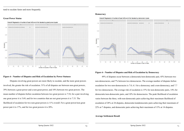tend to escalate faster and more frequently.

#### **Great Power Status**



#### **Figure 6 - Number of Disputes and Risk of Escalation by Power Statuses**

Disputes involving great powers are more likely to escalate, and the more great powers involved, the greater the risk of escalation. 51% of all disputes are between non-great powers, 39% between a great power and a non-great power, and 10% between two great powers. The mean number of disputes before escalation between two great powers is 7.54, for a pair involving one great power it is 5.69, and for two countries that are not great powers it is 7.33. The likelihood of escalation for two non-great powers is 11% overall. For a great power/non great power pair it is 17%, and for two great powers it is 20%.

#### **Democracy**



#### Smooth Regression of number of past MIDs and War faceted by democratic dyads

#### **Figure 6 - Number of Disputes and Risk of Escalation by Democracy**

49% of disputes occur between a democratic/non-democratic pair, 45% between two non-democracies, and 7% between two democracies. The average number of disputes before escalation for two non-democracies is 7.0, 6.1 for a democracy and a non-democracy, and 7.7 for two democracies. The average risk of escalation is 15% for non-democratic pairs, 14% for democratic/non-democratic pairs, and 10% for democracies. The peak likelihood of escalation varies between the three, with non-democratic pairs achieving their maximum likelihood of escalation of 28% at 24 disputes, democratic/nondemocratic pairs achieving their maximum of 22% at 7 disputes, and democratic pairs achieving their maximum of 15% at 14 disputes.

#### **Average Settlement Result**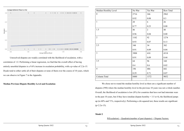

Unresolved disputes are weakly correlated with the likelihood of escalation, with a correlation of .12. Performing a linear regression, we find that the overall effect of having entirely unsettled disputes is a 9.6% increase in escalation probability, with a p-value of 2.2e-15. Dyads tend to either settle all of their disputes or none of them over the course of 10 years, which we can observe in Figure 7 in the Appendix.

#### **Median Previous Dispute Hostility Level and Escalation**

| Median Hostility Level | No War | Yes War        | Row Total |
|------------------------|--------|----------------|-----------|
| $\mathbf{0}$           | 2716   | 246            | 2962      |
|                        | 0.92   | 0.08           | 0.3       |
| $\mathbf{1}$           | 20     | 6              | 26        |
|                        | 0.77   | 0.23           | 0.00      |
| 1.5                    | 46     | $\overline{2}$ | 48        |
|                        | 0.96   | 0.04           | 0.00      |
| $\overline{2}$         | 1182   | 92             | 1274      |
|                        | 0.93   | 0.07           | 0.13      |
| 2.5                    | 348    | 34             | 382       |
|                        | 0.91   | 0.09           | 0.04      |
| $\overline{3}$         | 3908   | 410            | 4318      |
|                        | 0.91   | 0.09           | 0.44      |
| 3.5                    | 64     | 96             | 160       |
|                        | 0.4    | 0.6            | 0.02      |
| $\overline{4}$         | 196    | 486            | 682       |
|                        | 0.29   | 0.71           | 0.07      |
| Column Total           | 8480   | 1372           | 9852      |
|                        |        |                |           |

We chose not to round the median hostility level as there are a significant number of disputes (590) where the median hostility level in the previous 10 years was not a whole number. Overall, the likelihood of escalation is low (8%) for countries that have not had interstate wars in the past 10 years, but if they have (median dispute hostility  $= 3.5$  or 4), the likelihood jumps up (to 60% and 71%, respectively). Performing a chi-squared test, these results are significant  $(p<2.2e-15)$ .

#### **Model 2**

 $P(Escalation) \sim Quadratic(number of past disputes) + Dispute Factors:$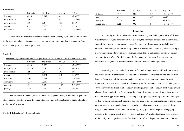#### Coefficients:

|                           | Estimate | Std. Error | z-value | $Pr(\ge  z )$ |
|---------------------------|----------|------------|---------|---------------|
| Intercept                 | $-1.76$  | 0.042      | $-41$   | $<$ 2e-15***  |
| num disputes              | $-18.6$  | 2.1        | $-9.0$  | $<$ 2e-15**   |
| num disputes <sup>2</sup> | .49      | 2.3        | $-.22$  | 0.827         |
| avgset                    | $-.32$   | 0.060      | $-5.3$  | $1.2e-6***$   |
| medhost lvl               | 0.39     | 0.020      | 19      | $<$ 2e-15***  |
|                           |          |            |         |               |

We observe the curvature of the num disputes relation changes, and that the linear term in the quadratic relationship suddenly becomes much more important than the quadratic. Using a linear model gives us similar significance.

#### **Model 3**

| $P(Escalation) \sim Quadratic(number of past disputes) + Dispute Factors + Structural Factors$ |  |  |  |  |  |  |
|------------------------------------------------------------------------------------------------|--|--|--|--|--|--|
|                                                                                                |  |  |  |  |  |  |

|                           | Estimate         | Std. Error | z-value | $Pr(>\vert z \vert)$   |
|---------------------------|------------------|------------|---------|------------------------|
| Intercept                 | 0.056<br>$-1.66$ |            | $-30$   | $<$ 2e-15***           |
| num disputes              | $-14.29$         | 2.13       | $-6.7$  | $2e-10**$              |
| num disputes <sup>2</sup> | .24              | 2.3        | .105    | 0.91                   |
| avgset                    | $-.37$           | 0.061      | $-6.1$  | $1e-8***$              |
| medhost lvl               | 0.41             | 0.021      | 20      | $<$ 2e-15***           |
| contiguity                | $-0.28$          | 0.037      | $-7.7$  | $1e^{\lambda} - 14***$ |
| dempair                   | $-0.14$          | 0.03       | $-4.75$ | $2e^{(-5***)}$         |
| great power               | 0.22             | 0.02       | 8.93    | $<$ 2e^-15             |
|                           |                  |            |         |                        |

The curvature of the num disputes remains changed but barely exists, and the quadratic effect becomes smaller (as does the linear effect). Average settlement result is negatively related to the risk of escalation.

**Model 4 -**P(Escalation) ~ Structural factors

|             | Estimate | Std. Error | z-value | $Pr(>\vert z \vert)$ |
|-------------|----------|------------|---------|----------------------|
| Intercept   | $-99$    | 0.036      | $-27$   | $\leq 2e-15***$      |
| cont        | $-.22$   | 0.033      | $-6.5$  | $6e-10***$           |
| dempair     | $-0.16$  | 0.028      | $-5.7$  | $9e-8***$            |
| great_power | 0.21     | 0.024      | 8.4     | $\leq 2e-15***$      |
|             |          |            |         |                      |

#### **Discussion**

A "peaking" relationship between the number of disputes and the probability of disputes would indicate that, at a certain number of disputes, the likelihood of escalation is maximized. A predictive "peaking" relationship between the number of disputes and the probability of escalation does exist, as demonstrated by model 1. However, this relationship becomes strongly negative and linear after we introduce average dispute factors and remains so after we introduce structural factors of war. We find support for the hypothesis that more disputes lower the escalation of war, and it is possible this is a result of effective signaling of resolve.

According to our models, the structural factors leading to war are all less important than incidental, dispute related factors (such as number of disputes, settlement results, and hostility levels). The ordering of the structural factors by Bremer - with contiguity being the most important, power status the second, and democracy the fifth - remains in models 3 and 4 (Bremer, 1992). However, the direction of contiguity effect flips. Instead of contiguity predicting a greater chance of war, contiguity predicts a lower likelihood of war among countries that have already disputed. This supports our theory that sending costly signals by disputing is an important aspect of demonstrating commitment. Sailing to faraway lands to dispute over something is costlier than creating aggression with neighbors, and each dispute exhausts more resources and holds more weight. The same can be said with our results regarding great power disputes, as engaging in disputes with powerful countries is very costly and risky. We explain these results not in terms of the clarity of the signal but by the fact that the cost of each dispute forces countries to make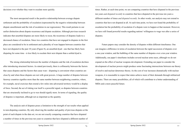decisions over whether they want to escalate more quickly.

The most unexpected result is the positive relationship between average dispute settlement and the probability of escalation (represented by the negative relationship between dispute unsettlement and the risk of escalation in our regressions). This result pertains to our earlier distinction about dispute recurrence and dispute escalation. Although previous research indicates that unsettled disputes are more likely to recur, the recurrence of disputes leads to a decreased chance of escalation. Since two countries that have not engaged in disputes in the first place are considered to be in settlement and a plurality of wars happen between countries that have not disputed in the past 10 years (Figure 8), an unsettled dyad - one that has likely been disputing for some time - is less likely to escalate their next dispute than a settled dyad is.

The strong relationship between the number of disputes and the risk of escalation declines after introducing structural factors. As stated previously, there is collinearity between the factors that cause disputes and the factors that cause wars - disputing is convenient when countries are close by and when those disputes are not with great powers. A large number of disputes between faraway countries signifies more than the same number between neighboring countries, where, for example, naval exercises that extend a few miles into adversarial territory would be a display of force. Second, the act of risking war itself is a powerful signal, so disputes between countries that are structurally inclined to go to war should signify more. In terms of signaling, the quality of disputes is important, although not as important as the quantity.

The analysis unit of disputes poses a limitation to the strength of our results when applied to non-disputing countries. By only observing the number and quality of previous disputes at the point of each dispute in the data set, we are not exactly comparing countries that have disputed a number of times in the previous ten years to countries that have disputed a different number of

times. Rather, at each time point, we are comparing countries that have disputed in the previous ten years *and disputed recently* to countries that have disputed in the previous ten years a different number of times *and disputed recently*. In other words, our analysis may not extend to countries that have not disputed at all. At each time point, we have not found the probability of escalation but the probability of escalation if a dispute were to happen at that moment. However, we have still found powerful results regarding nations' willingness to wage war after a series of disputes.

Future papers may consider the density of disputes within different timeframes. One can imagine a difference in terms of escalation between the rapid succession of disputes over a one-year window, and the bubbling of the same number of disputes over a ten-year window. Additionally, our paper's timeframe includes several nuclear arms races, although we do not expand on the effect of nuclear weapons development. Extending our paper to consider the development of nuclear powers might produce some fascinating intersections between our theory of resolve and nuclear deterrence theory. As the cost of war increases dramatically with nuclear weapons, it is reasonable to expect that states achieve more of their demands through militarized disputes. There are many possibilities, all of which will contribute to a better understanding of MIDs and a more peaceful future.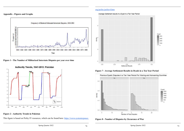**Appendix - Figures and Graphs**



**Figure 1 - The Number of Militarized Interstate Disputes per year over time**



### **Figure 2 - Authority Trends in Pakistan**

This figure is based on Polity IV resources, which can be found here: [https://www.systemicpeace.](https://www.systemicpeace.org/polity/polity4.htm)

Average Settlement results in a Dyad in a Ten Year Period



**Figure 7 - Average Settlement Results in Dyads in a Ten Year Period**



**Figure 8 - Number of Disputes by Occurence of War**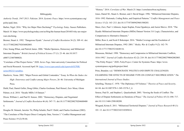#### Bibliogrpahy

*Authority Trends, 1947-2013: Pakistan*. 2014. *Systemic Peace*. https://www.systemicpeace.org/ polity/pak2.htm.

Barber, Nigel. 2016. "Why Are Major Wars Declining?" *Psychology Today*. Sussex Publishers. March 10. https://www.psychologytoday.com/us/blog/the-human-beast/201603/why-are-majorwars-declining.

Bremer, Stuart A. 1992. "Dangerous Dyads." *Journal of Conflict Resolution* 36 (2): 309–41. doi: 10.1177/0022002792036002005.

Choi, Seung-Whan, and Patrick James. 2006. "Media Openness, Democracy and Militarized Interstate Disputes." *British Journal of Political Science* 37 (1): 23–46. doi:10.1017/ s0007123407000026.

"Correlates of War Project Series." 2020. *Series Page*. Inter-university Consortium for Political and Social Research. Accessed April 30. [https://www.icpsr.umich.edu/icpsrweb/ICPSR/](https://www.icpsr.umich.edu/icpsrweb/ICPSR/series/00232/variables) [series/00232/variables](https://www.icpsr.umich.edu/icpsrweb/ICPSR/series/00232/variables).

Danilovic, Vesna. 2002. "Major Powers and Global Contenders." Essay. In *When the Stakes Are High: Deterrence and Conflict among Major Powers*, 26–46. University of Michigan Press.

Diehl, Paul, Daniel Geller, Doug Gibler, Charles Gochman, Paul Hensel, Zeev Moaz, Glenn Palmer, et al. 2018. "Dyadic MIDs 3.0 Dataset."

Dixon, William J., and Paul D. Senese. 2002. "Democracy, Disputes, and Negotiated Settlements." *Journal of Conflict Resolution* 46 (4): 547–71. doi:10.1177/002200270204600400 4.

Douglas M. Stinnett, Jaroslav Tir, Philip Schafer, Paul F. Diehl, and Charles Gochman (2002). "The Correlates of War Project Direct Contiguity Data, Version 3." Conflict Management and Peace Science 19 (2):58-66.

"History." 2014. *Correlates of War*. March 25. https://correlatesofwar.org/history.

Jones, Daniel M., Stuart A. Bremer, and J. David Singer. 1996. "Militarized Interstate Disputes, 1816–1992: Rationale, Coding Rules, and Empirical Patterns." *Conflict Management and Peace Science* 15 (2): 163–213. doi:10.1177/073889429601500203.

Maoz, Zeev, Paul L Johnson, Jasper Kaplan, Fiona Ogunkoya, and Aaron Shreve. 2018. "The Dyadic Militarized Interstate Disputes (MIDs) Dataset Version 3.0: Logic, Characteristics, and Comparisons to Alternative Datasets."

Miller, Ross A, and Scott E Bokemper. 2016. "Media Coverage and the Escalation of Militarized Interstate Disputes, 1992–2001." *Media, War & Conflict* 9 (2): 162–79. doi:10.1177/1750635216648116.

Mousseau, Michael. 1998. "Democracy and Compromise in Militarized Interstate Conflicts, 1816-1992." *Journal of Conflict Resolution* 42 (2): 210–30. doi:10.1177/0022002798042002005.

"The Polity Project." 2020. *PolityProject*. Center for Systemic Peace. https://www.

systemicpeace.org/polityproject.html.

Prins, Brandon. n.d. "DEMOCRATIC POLITICS AND DISPUTE CHALLENGES: EXAMINING THE EFFECTS OF REGIME TYPE ON CONFLICT RECIPROCATION." *The International Journal of Peace Studies*.

Schelling, Thomas C. 1970. "The Diplomacy Of Violence." *Theories of Peace and Security*, 64–84. doi:10.1007/978-1-349-15376-3\_4.

Senese, Paul D., and Stephen L. Quackenbush. 2003. "Sowing the Seeds of Conflict: The Effect of Dispute Settlements on Durations of Peace." *The Journal of Politics* 65 (3): 696–717. doi:10.1111/1468-2508.00208.

Wiegand, Krista E. 2011. "Militarized Territorial Disputes." *Journal of Peace Research* 48 (1): 101–13. doi:10.1177/0022343310389414.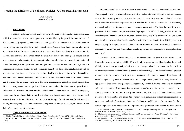Emilien Naval University of Montreal

### <span id="page-41-0"></span>**I. Introduction**

Nowadays, *neoliberalism* and *neoliberal* are mostly used as ill-defined political anathemas. Still, it remains that these terms integrate a set of identifiable principles. It is a common belief that economically speaking, neoliberalism encourages the disappearance of state intervention while leaving the field clear for a market-based *laissez-faire*. In fact, this definition refers more to the classical notion of economic liberalism. Here, we define neoliberalism as an economic doctrine and political ideology for which the state must aim for two main goals: ensure market mechanisms and adapt society to its constantly changing global environment. To stimulate and frame free enterprise along with economic competition, the state uses institutions and legislation to organize privatizations of state-owned companies, budget cuts, financial deregulations, as well as the lowering of customs barriers and introduction of self-discipline techniques. Broadly speaking, neoliberals and the neoliberal state think that the latter should serve the free market<sup>1</sup>. Such policies are tremendously criticized these days for their consequences regarding social inequalities. However, many states have adopted neoliberal measures since the 1980s due to globalization. What were the reasons, the inner workings, which enabled such transformations? In this paper, we explore the hypothesis that the worldwide adoption of the neoliberal model as a new universal standard was made possible thanks to its diffusion through, formal and less formal networks linking interest groups, scholars, international organizations and state leaders, and also with the help of economic or political crises.

### **II. Theoretical framework and method**

Our hypothesis will be tested on the basis of a constructivist approach to international relations. This perspective analyses ideas and actors' identities - states, international organization, companies, NGOs, civil society groups, etc. - as key elements in international relations, and considers that the distribution of material capacities have a marginal relevance. According to constructivists, the social reality - institutions and rules - is a social construction. To them the three following premises are fundamental. First, structures can forge agents' identities. Secondly, the restrictive and organizational dimensions of these structures delimit the agents' field of interactions. Structures are intersubjective ideas, shared and *crystallized* by individuals and institutions. Thirdly, structures are plastic, day-to-day practices and actions reinforce or transform them. Constructivists think that ideas are powerful. They are structural and structuring factors, able to produce interests, identities, and norms<sup>2</sup>.

More precisely, our demonstration leans on the concept of the *life cycle of norms* introduced by Martha Finnemore and Katheryn Sikkink<sup>3</sup>. We, therefore, assess how neoliberalism has developed globally by tracing the process by which new norms emerge and are incorporated into the practices of international actors, which ultimately generate political changes. That type of method – process tracing - aims to get an insight into causal mechanisms, by noticing pieces of evidence and establishing recurring patterns between cases from a temporal viewpoint<sup>4</sup>. Even though we will not apply proper *hoop* or *smoking gun* tests, as suggested by David Collier, the hypothesis explanatory value will be reinforced by comparing constructivist analyses to other theoretical perspectives. This framework will allow us to clarify the construction, diffusion, and internalization of new neoliberal development norms, conducted by individuals, groups, and influential organizations on an international scale. Transforming in this way the interests and identities of states, as well as their leaders, representatives, and citizens. Examples involving countries from Europe, North and Latin

<sup>1</sup> Michel Foucault, *Naissance De La Biopolitique : Cours Au Collège De France (1978-1979)*, Seuil (Paris, 2004); Barbara Stiegler, « Il Faut s'adapter ». Sur Un Nouvel Impératif Politique, Gallimard, NRF Essais (Paris, 2019).

<sup>2</sup> Alexander Wendt, *Social Theory of International Politics*, Cambridge University Press, Cambridge Studies in International Relations 67 (Cambridge, 1999).

<sup>3</sup> Martha Finnemore and Kathryn Sikkink, "International Norm Dynamics and Political Change," *International Organization* 52, no. 4 (1998): 887–917.

<sup>4</sup> David Collier, "Understanding Process Tracing," *PS: Political Science & Politics* 44, no. 4 (October 2011): 823–30, https://doi.org/10.1017/S1049096511001429.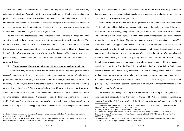America will support our demonstration. Such cases will help us defend the idea that networks, extending from the Mont Pelerin Society to the International Monetary Fund, in close contact with politicians and managers, made their worldview unmissable, exploiting situations of uncertainty and economic slowdowns. This paper aims to expose the strategic use of the constructed dimension of norms, by considering the circulation and legitimation of ideas as a core process to initiate international institutional changes in this era of globalization.

The first part of this paper focuses on the emergence of neoliberal ideas in Europe and North America, as well as the way promoters were able to influence politics locally and globally. The second part is dedicated to the 1970s and 1980s economic and political situations which helped the diffusion and implementation of these new development policies. Then, we discuss the internalization of these norms, in other words, the way they became self-evident truths for most people. Finally, we conclude with the worldwide adoption of neoliberal measures as the result of an active diffusion.

#### **III. The emergence of networks and organizations promoting neoliberal policies**

In this first part, we try to explain the emergence of new norms, strengthening within epistemic communities<sup>5</sup>. In our case, an epistemic community is a group of authoritative professionals and experts working in intellectual circles, think tanks, international institutions, and university departments, and driven by the same objectives of reinventing economics and promoting new kinds of political ideas<sup>6</sup>. We also describe how these ideas were first exported from these *production centers* to broader political and economic authorities. As our hypothesis rests partly upon the concept of globalization, let us remember first, the following definition. According to Smith, Baylis, and Owens, globalization represents "the growing interconnection process between societies, meaning that an event happening somewhere in the world, can affect people and societies

living on the other side of the globe"7 . Since the end of the Second World War, this phenomenon has accelerated. In this paper, globalization is first and foremost, a powerful means of transmission for ideas, standardizing norms and practices.

Neoliberalism's origin is often given to the journalist Walter Lippmann and his eponymous 1938's colloquium<sup>8</sup>. Nevertheless, we consider that this school of thought takes on its full meaning with the Mont Pelerin Society, imagined and put in place by the German and Austrian economists Wilhelm Röpke and Friedrich Hayek. This international organization presents itself as an opponent to totalitarian regimes - Stalinism, Nazism - and ideas, to post-war Keynesianism and *embedded liberalism*. John G. Ruggie defines *embedded liberalism* as an association of free-trade and state intervention within the national economy to ensure social stability through social security and wealth redistribution<sup>9</sup>. However, the Society advocates for the defense of a more classical liberalism, economically and politically speaking. For instance, they promote a market society, liberalization of economies, and traditional liberal philosophical principles like the freedom of speech. Receiving funds from the United States and Switzerland, the Mont Pelerin Society was officially born in April 1947 in Vevey, Switzerland. This first meeting gathered 39 attendees, most of them being European and American scholars. They wanted to appear as an international society of thinkers whose goal was to maintain a neoliberal current "in the background", all the while pending the right political and economic conditions to emerge, which François Denord refers to as Hayek's *metapolitical* strategy<sup>10</sup>.

Two decades after Vevey's meeting, these new notions were setting in throughout the US economic field, especially at the University of Chicago. The Chicago School of Economics, supported by Milton Friedman, member of the Mont Pelerin Society and laureate of the Nobel

<sup>5</sup> Peter M. Haas, "Introduction: Epistemic Communities and International Policy Coordination," *International Organization* 46, no. 1 (1992): 1–35.

<sup>6</sup> Morgan Meyer and Susan Molyneux-Hodgson, "« Communautés épistémiques » : une notion utile pour théoriser les collectifs en sciences ?," *Terrains travaux* n° 18, no. 1 (August 18, 2011): 141–54.

<sup>7</sup> John Baylis, Steve Smith, and Patricia Owens, *La Globalisation Politique Mondiale: Une Introduction Aux Relations Internationales*, Modulo Editeur (Montréal, 2011).

<sup>8</sup> Stiegler, « Il Faut s'adapter ». Sur Un Nouvel Impératif Politique.

<sup>9</sup> John Gerard Ruggie, "International Regimes, Transactions, and Change: Embedded Liberalism in the Postwar Economic Order," *International Organization* 36, no. 2 (ed 1982): 379–415, https://doi.org/10.1017/ S0020818300018993.

<sup>10</sup> François Denord, "Le prophète, le pèlerin et le missionnaire," *Actes de la Recherche en Sciences Sociales* 145, no. 1 (2002): 9–20, https://doi.org/10.3406/arss.2002.2794.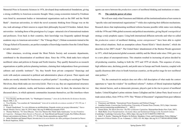Memorial Prize in Economic Sciences in 1976, developed deep mathematical foundations, giving a strong credibility to American economic thought. Many young economists trained by Friedman were hired by assessment bodies or international organizations such as the IMF and the World Bank<sup>11</sup>. American universities, in which the novel economic thinking from Chicago was on the rise, took advantage of their renown to export their philosophy beyond US borders. Indeed, these universities - including those of the prestigious Ivy League - attracted a lot of international students and professors. Even back in their countries, their knowledge was frequently updated through academic stays in American universities<sup>12</sup>. The "Chicago Boys", Chilean economists trained at the Chicago School of Economics, are perfect examples of knowledge transfers from the United States to Latin America<sup>13</sup>.

Other structures, revolving around the Mont Pelerin Society and economic departments, contributed to the dissemination of neoliberal ideas. Since the 1970s, think tanks have relayed neoliberal values and policies in Europe and North America. They qualify themselves as research organizations or public policies planning institutes, claiming their independence from government cabinets and scientific institutes<sup>14</sup>. Yet, they benefit from private companies' financings and work with analysts connected to political and administrative places of power. Their reports and studies are mostly intended for businesses or political parties<sup>15</sup>. According to sociologist Thomas Mevdvetz, these think tanks are *interstitial fields*. That is to say, they are organizational structures where political, academic, media, and business authorities meet. In short, the structures that we discussed above, in which epistemic communities incarnate themselves, act like interfaces where agents can move between the *production centers* of neoliberal thinking and institutions or states.

#### **IV. The catalytic power of crises**

We will now study what Finnemore and Sikkink call the institutionalization of new norms in "specific rules and international organizations"16 while also exploring their diffusion mechanisms. Research shows that implementing neoliberal reforms became possible while states were dealing with the 1970s and 1980s global economic and political uncertainties, giving Hayek's *metapolitical* strategy a truly prophetic aspect. Using both international diffusion networks and what we called the *production centers* of neoliberal thinking, *norms entrepreneurs*17 have been able to exploit these critical situations. Such an assumption echoes Naomi Klein's "shock doctrine", which she describes in her 2007's book<sup>18</sup>. The United States' abandonment of the Bretton Woods agreement in 1971, which had protected global economic stability and the liberal order since 1944, gave way to a new phase of uncooperativeness. This situation resulted in increasing oil prices decided by oil-producing countries, leading to both the 1973 and 1979 oil shocks. This sequence of crises, high inflation rates, declining growth, and profit rates in Europe and North America, coupled with equally disastrous debt crises in South American countries, set the perfect stage for new neoliberal state politics<sup>19</sup>.

Yet, the constructivist analysis does not offer a full description of what made the context opportune to "open the window" for neoliberal reforms<sup>20</sup>. Authors of liberal inspiration highlight that, internal factors, such as democratic pressure, played a part in the rise to power of neoliberal leaders. United Kingdom's prime minister James Callaghan and the Labour Party faced waves of trade union strikes, from 1978 to 1979. This "Winter of Discontent" originated from poor inflation

<sup>11</sup> Yves Dezalay and Bryant Garth, "Le 'Washington Consensus,'" *Actes de La Recherche En Sciences Sociales*, March 1998, 3–22.

<sup>12</sup> Yves Dezalay, "Les courtiers de l'international," *Actes de la recherche en sciences sociales* n° 151-152, no. 1 (2004): 4–35.

<sup>13</sup> Franck Gaudichaud, "La voie chilienne au néolibéralisme. Regards croisés sur un pays laboratoire," *Nuevo Mundo Mundos Nuevos*, June 10, 2014, https://doi.org/10.4000/nuevomundo.67029.

<sup>14</sup> Thomas Medvetz, "10. Terra Obscura : Vers Une Théorie Des Think Tanks Américains," in *Aux Frontières de l'expertise : Dialogues Entre Savoirs et Pouvoirs*, ed. Yann Bérard and Renaud Crespin, Res Publica (Rennes: Presses universitaires de Rennes, 2015), 177–95, http://books.openedition.org/pur/9945.

<sup>15</sup> Julien Weisbein and Samuel Hayat, *Introduction à la socio-histoire des idées politiques* (Louvain-La-Neuve: De Boeck Supérieur, 2020).

<sup>16</sup> Finnemore and Sikkink, "International Norm Dynamics and Political Change."

<sup>17</sup> Jonathan Swarts, *Constructing Neoliberalism*, University of Toronto Press (Toronto, 2013), https://utorontopress.com/us/constructing-neoliberalism-3?\_\_\_SID=U.

<sup>18</sup> Naomi Klein, *The Shock Doctrine: The Rise of Disaster Capitalism*, Metropolitan Books (New York, 2007).

<sup>19</sup> Mark Blyth, *Great Transformations: Economic Ideas and Institutional Change in the Twentieth Century* (Cambridge: Cambridge University Press, 2002), https://doi.org/10.1017/CBO9781139087230.

<sup>20</sup> John T. S. Keeler, "Opening the Window for Reform: Mandates, Crises, and Extraordinary Policy-Making," *Comparative Political Studies* 25, no. 4 (January 1, 1993): 433–86, https://doi.org/10.1177/00104140930250040 02.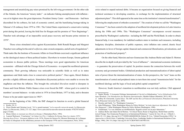management and unsatisfying pay raises promised by the left-wing government. On the other side of the Atlantic, the American "misery index" - an indicator linking unemployment with inflation was at its highest since the great depression. President Jimmy Carter – and Democrats – had been discredited for his softness, his lack of economic control, and the humiliating hostage-taking in Teheran's US embassy from 1979 to 1981. The United States experienced a conservative turning point during this period, leaving the field free for Reagan and his promise of "New Beginnings''. Thatcher took advantage of an impossible social peace recovery and became prime minister in 197921.

Those crises stimulated critics against Keynesianism. Both Ronald Reagan and Margaret Thatcher were calling for the end of *welfarism*, state-owned companies, and all sorts of regulations<sup>22</sup>. Think tanks like the Institute of Economic Affairs in Great Britain exercised a significant influence on the ideological stance of these political leaders. Elsewhere in western Europe, forums gathered economists to discuss public policies. Those meetings were good opportunities for American economists – affiliated with the Chicago School of Economics - to expand the neoliberal epistemic community. Their growing influence was noticeable in scientific fields as well as in states apparatuses and think tanks close to conservative political parties<sup>23</sup>. Once again, liberal thinkers provide a slightly different analysis. Stimulation (Keynesian) policies were unable to reverse the stagflation and then the inflation. This brought the *embedded liberalism* model to disrepute in France and Great Britain. Public finance crises even forced the IMF - whose goal is to control its members' account balances - to take action in 1976 in Great Britain, 1977 in Italy, and to threaten France to be put under supervision in 1983<sup>24</sup>.

At the beginning of the 1980s, the IMF changed its function to avoid a global financial

crisis related to unpaid national debts. It became an organization focused on giving financial and technical assistance to developing countries, in exchange for the implementation of structural adjustment plans<sup>25</sup>. This shift appeared at the same time as the institution's internal transformation<sup>26</sup>, following the employment of orthodox economists<sup>27</sup>. The creation of what we call the "Washington" Consensus"28, has been central in the adoption of neoliberal development policies in Latin America during the 1980s and 1990s. This "Washington Consensus" encompasses several measures prescribed by Washington's authorities - including the IMF and the World Bank. In order to obtain financial help, it was mandatory for indebted southern states to institute such measures, including budgetary discipline, diminution of public expenses, strict inflation rate control, drastic fiscal adjustments in favor of foreign capital, financial and commercial liberalization, privatizations, and protection of intellectual property<sup>29</sup>.

On the other hand, Marxists and neo-Gramscians like Andreas Bieler and Adam D. Morton describe the in-depth work provided by the "axis of influence" – international economic institutions – to guarantee the preservation of capital. Its position ensures the connection between the world economy and government bodies. Globalized production and transnationalization of labor/capital ratio of power thrust the internationalization of states. In this perspective, the "axis" leans on this transformation of central and peripheral states to turn them into actual "transmission belts" for the neoliberal ideology and the logic of local and global capital competition<sup>30</sup>.

However, South America's transition to neoliberalism was not truly uniform. Chili appeared

<sup>21</sup> Keeler, 28–31.

<sup>22</sup> Pierre Dardot and Christian Laval, "10. Le grand tournant," in *La nouvelle raison du monde*, La Découverte (Paris: La Découverte, 2010), 273–327, https://www.cairn.info/la-nouvelle-raison-du-monde--9782707165022 page-273.htm.

<sup>23</sup> Bruno Jobert, *Le tournant neo-liberal en Europe*, L'Harmattan (Paris, 1994).

<sup>24</sup> Laurent Warlouzet, "Conclusion," in *Calmer Les Prix: L'inflation En Europe Dans Les Années 1970 / Slowing down Prices ; European Inflation in the 1970s*, Presses de Siences Po, Mission Historique de La Banque de France (Colloquium on the inflationary pressure in the European 1970s and its consequences, Paris, 2016).

<sup>25</sup> Ngaire Woods, "L'économie Politique Internationale à l'ère de La Globalisation," in *La Globalisation Politique Mondiale: Une Introduction Aux Relations Internationales*, Modulo Editeur (Montréal, 2011), 603.

<sup>26</sup> Jeffrey M. Chwieroth, *Capital Ideas: The IMF and the Rise of Financial Liberalization*, Princeton University Press (Princeton University Press, 2009).

<sup>27</sup> Dezalay and Garth, "Le 'Washington Consensus.'"

<sup>28</sup> John Williamson, "What Washington Means by Policy Reform," in *Latin American Adjustment: How Much Has Happened ?*, What Washington Means by Policy Reform (Washington, 1990).

<sup>29</sup> Gaudichaud, "La voie chilienne au néolibéralisme. Regards croisés sur un pays laboratoire."

<sup>30</sup> Andreas Bieler and Adam David Morton, "A Critical Theory Route to Hegemony, World Order and Historical Change: Neo-Gramscian Perspectives in International Relations," *Capital & Class* 28, no. 1 (March 1, 2004): 85–113, https://doi.org/10.1177/030981680408200106; Robert W. Cox, "Global Perestroika (1992)," in *Approaches to World Order*, Cambridge University Press, Cambridge Studies in International Relations (Cambridge, 1996), 296–314, https://doi.org/10.1017/CBO9780511607905.016.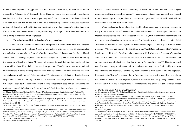to be the laboratory and starting point of this transformation. From 1974, Pinochet's dictatorship imposed the "Chicago Boys" dogmas by force. This event shows that a conservative revolution, neoliberalism, and authoritarianism can get along well<sup>31</sup>. By contrast, Jacint Jordana and David Levi-Faur point out that, by the end of the 1970s, neighboring countries, introduced neoliberal policies while dealing with debt crises and transitioning towards democracy<sup>32</sup>. Notice that, even if most of the time, the consensus was exported through Washington's local intermediaries, a lot could be explained by an imitation process<sup>33</sup>.

#### **V. The adoption and internalization of a new paradigm**

In this last part, we demonstrate that the third phase of Finnemore and Sikkink's *life cycle of norms* reinforces our hypothesis. Norms are internalized when they appear as obvious rules that nobody questions. Marion Fourcade-Gourinchas and Sarah L. Babb argue that the neoliberal framework took advantage of globalization and the emergence of a global financial order delimiting the spectrum of feasible policies. Moreover, adjustments to local defining features through the fusion with national ideals helped that transition process<sup>34</sup>. Thatcher mentioned these political transformations in terms of "deep-rooted liberal instincts", whereas Mitterand claimed that they were in harmony with France's "idéal républicain"<sup>35</sup>. In the same vein, Johnathan Swarts observes adaptable transitions in other Anglo-Saxon countries notably Australia, Canada, and New Zealand, which suited each politico-economic context. Norms entrepreneurs used similar expressions like *rationality* or *inevitability* in many shapes and forms<sup>36</sup>. Each time, these words were accompanying a typical coercive rhetoric of crisis. According to Pierre Dardot and Christian Laval, slogans disapproving of Keynesian politics such as "companies are overtaxed, over-regulated, overexposed to trade unions, egotistic corporations, and civil servants pressures", went hand in hand with the introduction of this new political rationale<sup>37</sup>.

We noticed earlier the simultaneity of the liberalization and democratization processes in many South American states<sup>38</sup>. Meanwhile, the internalization of the "Washington Consensus" in these states was assisted by a sort of an "educational process", from international organizations and their agents towards decision-makers and citizens<sup>39</sup>, to the point where people were convinced that "there was no alternative". The Argentinian economist Domingo Cavallo is a good example. He is a former 1970's Harvard student who spent time at the World Bank and founded the "Fundación Mediterranea" think tank. Cavallo taught economics to Carlos Menem – President of Argentina from 1989 to 1999 - and then became his Minister of Economy. He is also the creator of the Argentinian structural adjustment plan, known as the "convertibility plan"40. This stereotypical case illustrates how epistemic communities can change the way leaders think, and by extension their identities and interests<sup>41</sup>. Nonetheless, Besma Momani's work qualifies this first approach. She says that the "learner" position of the IMF member-states is not self-evident. Her paper shows that, even if Canadian officials respect the pieces of advice and analyses given by the IMF, it does not necessarily mean that they convert its recommendations into laws<sup>42</sup>. Her demonstration echoes

<sup>31</sup> Martin Beddeleem and Nathanaël Colin-Jaeger, "L'héritage conservateur du néolibéralisme," *Philosophie, histoire des idées, pensée politique*, no. 23 (2020), https://doi.org/10.4000/asterion.5452; Ruth Levitas, *The Ideology of the New Right*, Polity Press (Oxford, 1986).

<sup>32</sup> Jacint Jordana and David Levi-Faur, "The Diffusion of Regulatory Capitalism in Latin America: Sectoral and National Channels in the Making of a New Order," *The Annals of the American Academy of Political and Social Science*, 2005, 102–24.

<sup>33</sup> Kurt Weyland, "Theories of Policy Diffusion: Lessons from Latin American Pension Reform," *World Politics* 57, no. 2 (2005): 262–95.

<sup>34</sup> Marion Fourcade‐Gourinchas and Sarah L Babb, "The Rebirth of the Liberal Creed: Paths to Neoliberalism in Four Countries," *American Journal of Sociology*, 2002, 47; Witold J. Henisz, Bennet A. Zelner, and Mauro F. Guillén, "The Worldwide Diffusion of Market-Oriented Infrastructure Reform, 1977–1999," *American Sociological Review* 70, no. 6 (December 1, 2005): 871–97, https://doi.org/10.1177/000312240507000601.

<sup>35</sup> Jobert, *Le tournant neo-liberal en Europe*.

<sup>36</sup> Swarts, *Constructing Neoliberalism*.

<sup>37</sup> Dardot and Laval, "10. Le grand tournant."

<sup>38</sup> Jordana and Levi-Faur, "The Diffusion of Regulatory Capitalism in Latin America: Sectoral and National Channels in the Making of a New Order."

<sup>39</sup> Covadonga Meseguer, "Policy Learning, Policy Diffusion, and the Making of a New Order," *The AN-NALS of the American Academy of Political and Social Science* 598, no. 1 (March 1, 2005): 67–82, https://doi. org/10.1177/0002716204272372; Marc Hufty, "Argentine : Un Gouvernement Sous Influence," in *L'économie à La Recherche Du Développement : Crise d'une Théorie, Violence d'une Pratique*, ed. Christian Comeliau, Cahiers de l'IUED (Genève: Graduate Institute Publications, 2016), 113–31, http://books.openedition.org/ iheid/2818.

<sup>40</sup> Hufty, "Argentine."

<sup>41</sup> Emmanuel Adler, "Seizing the Middle Ground:: Constructivism in World Politics," *European Journal of International Relations* 3, no. 3 (September 1, 1997): 319–63, https://doi.org/10.1177/1354066197003003003. 42 Bessma Momani, "Assessing the Utility of, and Measuring Learning from, Canada's IMF Article IV Consultations," *Canadian Journal of Political Science / Revue Canadienne de Science Politique* 39, no. 2 (2006): 249–69.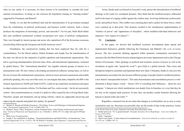what we saw earlier. It is necessary, for these lessons to be assimilated, to consider the local/ national circumstances. In doing so, she criticizes the hypothesis leaning on "learning models" suggested by Finnemore and Barnett<sup>43</sup>.

Finally, we see that the neoliberal state and the internalization of its governance emerged from the combination of political, professional, and business world's interests. Such a fusion produces the integration of knowledge, powers, and networks<sup>44</sup>. For his part, Mark Blyth thinks that each neoliberal institutional overhaul incorporated new types of political configurations. They were brought by interest groups and actors who capitalized off of the Keynesian consensus *disembedding* following the European and North American crises<sup>45</sup>.

Nonetheless, the constructivist reading that has been employed thus far calls for a counterbalance. For the liberal authors, Robert Keohane and Joseph Nye the transformation of the state was driven by the expansion of global capitalism and transnational organizations. This led to a growing interdependence between states, firms, and international organizations, cemented by global finance. This "international pluralism" ties together national groups of interest on a transnational scale. We also witness a developing asymmetrical influence among states, as well as the rise of actors like multinational corporations, which are more and more autonomous and sizable politically speaking. On a way out of the crisis, we can imagine that states, helped by the IMF or the General Agreement on Tariffs and Trade (GATT), could set up cooperation mechanisms and agree to adopt common economic reforms. For Keohane and Nye, actors accept – but do not necessarily control - these transformations as a result of a spillover effect caused by the evolving liberal order. Therefore, people and institutions end up taking reforms, which are supposedly preserving and

improving the national and global free market, for granted<sup>46</sup>.

45 Blyth, *Great Transformations*.

At last, Dardot and Laval based on Foucault's work, picture the internalization of neoliberal ideology as the result of a centripetal dynamic. They think that the neoliberal project, elaborated itself in the heart of a raging conflict against the welfare state, involving intellectual, professional, social, and political forces. This conflict was a meeting place and a catalyst for these forces, which were scattered up to that point. This dynamic resulted in the simultaneous implementation of "technics of power" and "apparatuses of discipline", which modified individual behaviors and imposed a "new regime of evidence"<sup>47</sup>.

#### **VI. Conclusion**

In this paper, we showed that neoliberal economic development plans spread and implemented themselves globally following the Finnemore and Sikkink's *life cycle of norms* process. The new economic thinking appeared within epistemic communities incarnated by structures like the Mont Pelerin Society and prestigious university departments such as the Chicago School of Economics. Their openings on political and economic nexuses of power as well as the circulation of agents who "spread the word"48, gave birth to a global network. Then crises and disruptions helped to assimilate and legitimate these new ideas. Ultimately, thanks to *education* the internalization succeeded, but also because different groups of people found in neoliberal policies, a new shared "unsurpassable horizon". This same dissemination and consolidation process is wellillustrated in Rajat Gupta's words – former CEO of consulting firm McKinsey – about his own company: "a banyan tree which ramifications root deeply from its branches, in a way that they do not rely on the original trunk anymore. In turn, they can produce similar branches allowing the banyan to spread wider and wider."49

Regardless, constructivists do not claim that changes in world politics are as easy as some caricaturists may say. Structures are powerful, they are the results of day-to-day practices. Actors

48 Hufty, "Argentine."

<sup>43</sup> Michael N. Barnett and Martha Finnemore, "The Politics, Power, and Pathologies of International Organizations," *International Organization* 53, no. 4 (1999): 699–732.

<sup>44</sup> Michael I. Reed, "Elites, Professions, and the Neoliberal State: Critical Points of Intersection and Contention," *Journal of Professions and Organization* 5, no. 3 (October 1, 2018): 297–312, https://doi.org/10.1093/jpo/ joy010.

<sup>46</sup> Joseph S. Nye and Robert O. Keohane, "Transnational Relations and World Politics: An Introduction," *International Organization* 25, no. 3 (1971): 329–49; Robert O. Keohane, *After Hegemony: Cooperation and Discord* 

*in the World Political Economy*, Princeton University Press (Princeton, 1984).

<sup>47</sup> Dardot and Laval, "10. Le grand tournant"; Foucault, *Naissance De La Biopolitique : Cours Au Collège De France (1978-1979)*.

<sup>49</sup> Marie-Laure Djelic, "L'arbre banian de la mondialisation," *Actes de la recherche en sciences sociales* n° 151-152, no. 1 (2004): 107–13.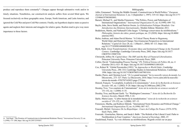produce and reproduce them constantly<sup>50</sup>. Changes appear through substantive work and/or in timely situations. Nonetheless, our constructivist analysis suffers from several blind spots. We focused exclusively on three geographic areas, Europe, North American, and Latin America, and ignored the Cold War and post-Cold War contexts. Finally, our hypothesis depicts states as passive agents and neglects their interests and struggles for relative gains. Realists tend to give way more importance to those factors.

#### Bibliography

Adler, Emmanuel. "Seizing the Middle Ground:: Constructivism in World Politics." *European Journal of International Relations* 3, no. 3 (September 1, 1997): 319–63. https://doi.org/10.1177/ 1354066197003003003.

Barnett, Michael N., and Martha Finnemore. "The Politics, Power, and Pathologies of International Organizations." *International Organization* 53, no. 4 (1999): 699–732.

- Baylis, John, Steve Smith, and Patricia Owens. *La Globalisation Politique Mondiale: Une Introduction Aux Relations Internationales*. Modulo Editeur. Montréal, 2011.
- Beddeleem, Martin, and Nathanaël Colin-Jaeger. "L'héritage conservateur du néolibéralisme." *Philosophie, histoire des idées, pensée politique*, no. 23 (2020). https://doi.org/10.4000/ asterion.5452.

Bieler, Andreas, and Adam David Morton. "A Critical Theory Route to Hegemony, World Order and Historical Change: Neo-Gramscian Perspectives in International Relations." *Capital & Class* 28, no. 1 (March 1, 2004): 85–113. https://doi. org/10.1177/030981680408200106.

Blyth, Mark. *Great Transformations: Economic Ideas and Institutional Change in the Twentieth Century*. Cambridge: Cambridge University Press, 2002. https://doi.org/10.1017/ CBO9781139087230.

Chwieroth, Jeffrey M. *Capital Ideas: The IMF and the Rise of Financial Liberalization*. Princeton University Press. Princeton University Press, 2009.

- Collier, David. "Understanding Process Tracing." *PS: Political Science & Politics* 44, no. 4 (October 2011): 823–30. https://doi.org/10.1017/S1049096511001429.
- Cox, Robert W. "Global Perestroika (1992)." In *Approaches to World Order*, Cambridge University Press., 296–314. Cambridge Studies in International Relations. Cambridge, 1996. https://doi.org/10.1017/CBO9780511607905.016.

Dardot, Pierre, and Christian Laval. "10. Le grand tournant." In *La nouvelle raison du monde*, La Découverte., 273–327. Paris: La Découverte, 2010. https://www.cairn.info/la-nouvelleraison-du-monde--9782707165022-page-273.htm.

Denord, François. "Le prophète, le pèlerin et le missionnaire." *Actes de la Recherche en Sciences Sociales* 145, no. 1 (2002): 9–20. https://doi.org/10.3406/arss.2002.2794.

Dezalay, Yves. "Les courtiers de l'international." *Actes de la recherche en sciences sociales* n° 151-152, no. 1 (2004): 4–35.

Dezalay, Yves, and Bryant Garth. "Le 'Washington Consensus.'" *Actes de La Recherche En Sciences Sociales*, March 1998, 3–22.

Djelic, Marie-Laure. "L'arbre banian de la mondialisation." *Actes de la recherche en sciences sociales* n° 151-152, no. 1 (2004): 107–13.

Finnemore, Martha, and Kathryn Sikkink. "International Norm Dynamics and Political Change." *International Organization* 52, no. 4 (1998): 887–917.

Foucault, Michel. *Naissance De La Biopolitique : Cours Au Collège De France (1978-1979)*. Seuil. Paris, 2004.

Fourcade‐Gourinchas, Marion, and Sarah L Babb. "The Rebirth of the Liberal Creed: Paths to Neoliberalism in Four Countries." *American Journal of Sociology*, 2002, 47.

Gaudichaud, Franck. "La voie chilienne au néolibéralisme. Regards croisés sur un pays

<sup>50</sup> Ted Hopf, "The Promise of Constructivism in International Relations Theory," *International Security* 23, no. 1 (1998): 171–200, https://doi.org/10.2307/2539267.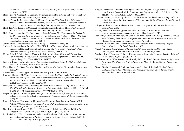laboratoire." *Nuevo Mundo Mundos Nuevos*, June 10, 2014. https://doi.org/10.4000/ nuevomundo.67029.

Haas, Peter M. "Introduction: Epistemic Communities and International Policy Coordination." *International Organization* 46, no. 1 (1992): 1–35.

Henisz, Witold J., Bennet A. Zelner, and Mauro F. Guillén. "The Worldwide Diffusion of Market-Oriented Infrastructure Reform, 1977–1999." *American Sociological Review* 70, no. 6 (December 1, 2005): 871–97. https://doi.org/10.1177/000312240507000601.

Hopf, Ted. "The Promise of Constructivism in International Relations Theory." *International Security* 23, no. 1 (1998): 171–200. https://doi.org/10.2307/2539267.

Hufty, Marc. "Argentine : Un Gouvernement Sous Influence." In *L'économie à La Recherche Du Développement : Crise d'une Théorie, Violence d'une Pratique*, edited by Christian Comeliau, 113–31. Cahiers de l'IUED. Genève: Graduate Institute Publications, 2016. http://books.openedition.org/iheid/2818.

Jobert, Bruno. *Le tournant neo-liberal en Europe*. L'Harmattan. Paris, 1994.

Jordana, Jacint, and David Levi-Faur. "The Diffusion of Regulatory Capitalism in Latin America: Sectoral and National Channels in the Making of a New Order." *The Annals of the American Academy of Political and Social Science*, 2005, 102–24.

Keeler, John T. S. "Opening the Window for Reform: Mandates, Crises, and Extraordinary Policy-Making." *Comparative Political Studies* 25, no. 4 (January 1, 1993): 433–86. https://doi.org/10.1177/0010414093025004002.

Keohane, Robert O. *After Hegemony: Cooperation and Discord in the World Political Economy*. Princeton University Press. Princeton, 1984.

Klein, Naomi. *The Shock Doctrine: The Rise of Disaster Capitalism*. Metropolitan Books. New York, 2007.

Levitas, Ruth. *The Ideology of the New Right*. Polity Press. Oxford, 1986.

Medvetz, Thomas. "10. Terra Obscura : Vers Une Théorie Des Think Tanks Américains." In *Aux Frontières de l'expertise : Dialogues Entre Savoirs et Pouvoirs*, edited by Yann Bérard and Renaud Crespin, 177–95. Res Publica. Rennes: Presses universitaires de Rennes, 2015. http://books.openedition.org/pur/9945.

Meseguer, Covadonga. "Policy Learning, Policy Diffusion, and the Making of a New Order." *The ANNALS of the American Academy of Political and Social Science* 598, no. 1 (March 1, 2005): 67–82. https://doi.org/10.1177/0002716204272372.

Meyer, Morgan, and Susan Molyneux-Hodgson. "« Communautés épistémiques » : une notion utile pour théoriser les collectifs en sciences ?" *Terrains travaux* n° 18, no. 1 (August 18, 2011): 141–54.

Momani, Bessma. "Assessing the Utility of, and Measuring Learning from, Canada's IMF Article IV Consultations." *Canadian Journal of Political Science / Revue Canadienne de Science Politique* 39, no. 2 (2006): 249–69.

Nye, Joseph S., and Robert O. Keohane. "Transnational Relations and World Politics: An Introduction." *International Organization* 25, no. 3 (1971): 329–49.

Reed, Michael I. "Elites, Professions, and the Neoliberal State: Critical Points of Intersection and Contention." *Journal of Professions and Organization* 5, no. 3 (October 1, 2018): 297–312. https://doi.org/10.1093/jpo/joy010.

Ruggie, John Gerard. "International Regimes, Transactions, and Change: Embedded Liberalism in the Postwar Economic Order." *International Organization* 36, no. 2 (ed 1982): 379– 415. https://doi.org/10.1017/S0020818300018993.

Simmons, Beth A., and Zachary Elkins. "The Globalization of Liberalization: Policy Diffusion in the International Political Economy." *The American Political Science Review* 98, no. 1 (2004): 171–89.

Stiegler, Barbara. « Il Faut s'adapter ». Sur Un Nouvel Impératif Politique. Gallimard. NRF Essais. Paris, 2019.

Swarts, Jonathan. *Constructing Neoliberalism*. University of Toronto Press. Toronto, 2013. https://utorontopress.com/us/constructing-neoliberalism-3? SID=U.

Warlouzet, Laurent. "Conclusion." In *Calmer Les Prix: L'inflation En Europe Dans Les Années 1970 / Slowing down Prices ; European Inflation in the 1970s*, Presses de Siences Po. Mission Historique de La Banque de France. Paris, 2016.

Weisbein, Julien, and Samuel Hayat. *Introduction à la socio-histoire des idées politiques*. Louvain-La-Neuve: De Boeck Supérieur, 2020.

Wendt, Alexander. *Social Theory of International Politics*. Cambridge University Press. Cambridge Studies in International Relations 67. Cambridge, 1999.

Weyland, Kurt. "Theories of Policy Diffusion: Lessons from Latin American Pension Reform." *World Politics* 57, no. 2 (2005): 262–95.

Williamson, John. "What Washington Means by Policy Reform." In *Latin American Adjustment: How Much Has Happened ?*, What Washington Means by Policy Reform. Washington, 1990.

Woods, Ngaire. "L'économie Politique Internationale à l'ère de La Globalisation." In *La Globalisation Politique Mondiale: Une Introduction Aux Relations Internationales*, Modulo Editeur., 603. Montréal, 2011.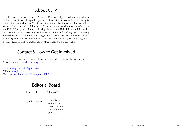# About CJFP

The Chicago Journal of Foreign Policy (CJFP) is a journal published by undergraduates at The University of Chicago that provides a forum for problem-solving and analysis around international affairs. The journal features a collection of articles that reflect on historical, economic, political, and cultural developments within nations other than the United States, or explores relationships between the United States and the world. Each edition covers topics from regions around the world, and engages in ongoing discussions held on the international stage. Our journal editions serve as a complement to our regularly updated online publication, featuring articles, op-eds, and blog posts produced and edited by our staff and by other students at our university.

# Contact & How to Get Involved

To stay up-to-date on events, deadlines, and new releases, subscribe to our listhost, "chicagojournalfp" via [lists.uchicago.edu.](http://lists.uchicago.edu)

Email: [chicagojournalfp@gmail.com](mailto:chicagojournalfp%40gmail.com?subject=) Website: [thecjfp.com](http://www.thecjfp.com) Facebook: [facebook.com/ChicagoJournalFP/](http://facebook.com/ChicagoJournalFP/)

# Editorial Board

Thomas Weil Editor-in-Chief

Junior Editors Tyler Okeke Amala Karri Devang Laddha Maymuna Elmi Chloe Yin